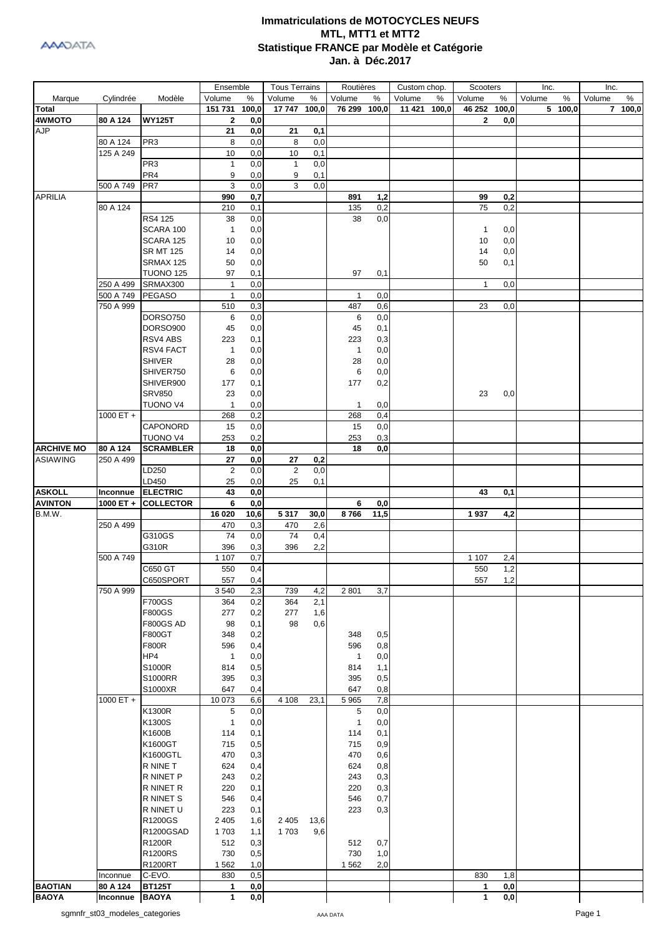

|                                      |                        |                           | Ensemble                     |            | <b>Tous Terrains</b> |            | Routières      |            | Custom chop.     | Scooters       |     | Inc.        | Inc.        |
|--------------------------------------|------------------------|---------------------------|------------------------------|------------|----------------------|------------|----------------|------------|------------------|----------------|-----|-------------|-------------|
| Marque                               | Cylindrée              | Modèle                    | Volume                       | %          | Volume               | %          | Volume         | %          | Volume<br>%      | Volume         | %   | %<br>Volume | Volume<br>% |
| Total                                |                        |                           | 151 731                      | 100,0      | 17 747 100,0         |            | 76 299 100,0   |            | 11 4 21<br>100,0 | 46 252 100,0   |     | 5 100,0     | 7 100,0     |
| 4WMOTO                               | 80 A 124               | <b>WY125T</b>             | $\overline{2}$               | 0,0        |                      |            |                |            |                  | 2              | 0,0 |             |             |
| <b>AJP</b>                           |                        | PR <sub>3</sub>           | 21<br>8                      | 0,0        | 21                   | 0,1        |                |            |                  |                |     |             |             |
|                                      | 80 A 124<br>125 A 249  |                           | 10                           | 0,0<br>0,0 | 8<br>10              | 0,0<br>0,1 |                |            |                  |                |     |             |             |
|                                      |                        | PR <sub>3</sub>           | 1                            | 0,0        | $\mathbf{1}$         | 0,0        |                |            |                  |                |     |             |             |
|                                      |                        | PR4                       | 9                            | 0,0        | 9                    | 0,1        |                |            |                  |                |     |             |             |
|                                      | 500 A 749              | PR <sub>7</sub>           | 3                            | 0,0        | 3                    | 0,0        |                |            |                  |                |     |             |             |
| <b>APRILIA</b>                       |                        |                           | 990                          | 0,7        |                      |            | 891            | 1,2        |                  | 99             | 0,2 |             |             |
|                                      | 80 A 124               |                           | 210                          | 0,1        |                      |            | 135            | 0,2        |                  | 75             | 0,2 |             |             |
|                                      |                        | RS4 125                   | 38                           | 0,0        |                      |            | 38             | 0,0        |                  |                |     |             |             |
|                                      |                        | SCARA 100                 | $\mathbf{1}$                 | 0,0        |                      |            |                |            |                  | $\overline{1}$ | 0,0 |             |             |
|                                      |                        | SCARA 125                 | 10                           | 0,0        |                      |            |                |            |                  | 10             | 0,0 |             |             |
|                                      |                        | <b>SR MT 125</b>          | 14                           | 0,0        |                      |            |                |            |                  | 14             | 0,0 |             |             |
|                                      |                        | SRMAX 125                 | 50                           | 0,0        |                      |            |                |            |                  | 50             | 0,1 |             |             |
|                                      |                        | <b>TUONO 125</b>          | 97                           | 0,1        |                      |            | 97             | 0,1        |                  |                |     |             |             |
|                                      | 250 A 499<br>500 A 749 | SRMAX300<br><b>PEGASO</b> | $\mathbf{1}$<br>$\mathbf{1}$ | 0,0<br>0,0 |                      |            | $\mathbf{1}$   | 0,0        |                  | $\mathbf{1}$   | 0,0 |             |             |
|                                      | 750 A 999              |                           | 510                          | 0,3        |                      |            | 487            | 0,6        |                  | 23             | 0,0 |             |             |
|                                      |                        | DORSO750                  | 6                            | 0,0        |                      |            | 6              | 0,0        |                  |                |     |             |             |
|                                      |                        | DORSO900                  | 45                           | 0,0        |                      |            | 45             | 0,1        |                  |                |     |             |             |
|                                      |                        | RSV4 ABS                  | 223                          | 0,1        |                      |            | 223            | 0,3        |                  |                |     |             |             |
|                                      |                        | RSV4 FACT                 | $\mathbf{1}$                 | 0,0        |                      |            | $\overline{1}$ | 0,0        |                  |                |     |             |             |
|                                      |                        | <b>SHIVER</b>             | 28                           | 0,0        |                      |            | 28             | 0,0        |                  |                |     |             |             |
|                                      |                        | SHIVER750                 | 6                            | 0,0        |                      |            | 6              | 0,0        |                  |                |     |             |             |
|                                      |                        | SHIVER900                 | 177                          | 0,1        |                      |            | 177            | 0,2        |                  |                |     |             |             |
|                                      |                        | <b>SRV850</b>             | 23                           | 0,0        |                      |            |                |            |                  | 23             | 0,0 |             |             |
|                                      |                        | <b>TUONO V4</b>           | $\mathbf{1}$                 | 0,0        |                      |            | $\mathbf{1}$   | 0,0        |                  |                |     |             |             |
|                                      | 1000 ET +              |                           | 268                          | 0,2        |                      |            | 268            | 0,4        |                  |                |     |             |             |
|                                      |                        | CAPONORD                  | 15                           | 0,0        |                      |            | 15             | 0,0        |                  |                |     |             |             |
|                                      |                        | <b>TUONO V4</b>           | 253                          | 0,2        |                      |            | 253            | 0,3        |                  |                |     |             |             |
| <b>ARCHIVE MO</b><br><b>ASIAWING</b> | 80 A 124<br>250 A 499  | <b>SCRAMBLER</b>          | 18<br>27                     | 0,0<br>0,0 | 27                   | 0,2        | 18             | 0,0        |                  |                |     |             |             |
|                                      |                        | LD250                     | 2                            | 0,0        | 2                    | 0,0        |                |            |                  |                |     |             |             |
|                                      |                        | LD450                     | 25                           | 0,0        | 25                   | 0,1        |                |            |                  |                |     |             |             |
| <b>ASKOLL</b>                        | Inconnue               | <b>ELECTRIC</b>           | 43                           | 0,0        |                      |            |                |            |                  | 43             | 0,1 |             |             |
| <b>AVINTON</b>                       | 1000 ET +              | <b>COLLECTOR</b>          | 6                            | 0,0        |                      |            | 6              | 0,0        |                  |                |     |             |             |
| B.M.W.                               |                        |                           | 16 020                       | 10,6       | 5317                 | 30,0       | 8766           | 11,5       |                  | 1937           | 4,2 |             |             |
|                                      | 250 A 499              |                           | 470                          | 0,3        | 470                  | 2,6        |                |            |                  |                |     |             |             |
|                                      |                        | G310GS                    | 74                           | 0,0        | 74                   | 0,4        |                |            |                  |                |     |             |             |
|                                      |                        | G310R                     | 396                          | 0,3        | 396                  | 2,2        |                |            |                  |                |     |             |             |
|                                      | 500 A 749              |                           | 1 1 0 7                      | 0,7        |                      |            |                |            |                  | 1 1 0 7        | 2,4 |             |             |
|                                      |                        | C650 GT                   | 550                          | 0,4        |                      |            |                |            |                  | 550            | 1,2 |             |             |
|                                      | 750 A 999              | C650SPORT                 | 557<br>3540                  | 0,4<br>2,3 | 739                  | 4,2        | 2 8 0 1        | 3,7        |                  | 557            | 1,2 |             |             |
|                                      |                        | <b>F700GS</b>             | 364                          | 0,2        | 364                  | 2,1        |                |            |                  |                |     |             |             |
|                                      |                        | F800GS                    | 277                          | 0,2        | 277                  | 1,6        |                |            |                  |                |     |             |             |
|                                      |                        | <b>F800GS AD</b>          | 98                           | 0,1        | 98                   | 0,6        |                |            |                  |                |     |             |             |
|                                      |                        | F800GT                    | 348                          | 0,2        |                      |            | 348            | 0,5        |                  |                |     |             |             |
|                                      |                        | F800R                     | 596                          | 0,4        |                      |            | 596            | 0,8        |                  |                |     |             |             |
|                                      |                        | HP4                       | $\mathbf{1}$                 | 0,0        |                      |            | $\overline{1}$ | 0,0        |                  |                |     |             |             |
|                                      |                        | S1000R                    | 814                          | 0,5        |                      |            | 814            | 1,1        |                  |                |     |             |             |
|                                      |                        | S1000RR                   | 395                          | 0,3        |                      |            | 395            | 0,5        |                  |                |     |             |             |
|                                      |                        | S1000XR                   | 647                          | 0,4        |                      |            | 647            | 0,8        |                  |                |     |             |             |
|                                      | 1000 ET +              | K1300R                    | 10 073<br>5                  | 6,6<br>0,0 | 4 1 0 8              | 23,1       | 5 9 6 5<br>5   | 7,8<br>0,0 |                  |                |     |             |             |
|                                      |                        | K1300S                    | 1                            | 0,0        |                      |            | $\mathbf{1}$   | 0,0        |                  |                |     |             |             |
|                                      |                        | K1600B                    | 114                          | 0,1        |                      |            | 114            | 0,1        |                  |                |     |             |             |
|                                      |                        | K1600GT                   | 715                          | 0,5        |                      |            | 715            | 0,9        |                  |                |     |             |             |
|                                      |                        | K1600GTL                  | 470                          | 0,3        |                      |            | 470            | 0,6        |                  |                |     |             |             |
|                                      |                        | R NINE T                  | 624                          | 0,4        |                      |            | 624            | 0,8        |                  |                |     |             |             |
|                                      |                        | R NINET P                 | 243                          | 0,2        |                      |            | 243            | 0,3        |                  |                |     |             |             |
|                                      |                        | R NINET R                 | 220                          | 0,1        |                      |            | 220            | 0,3        |                  |                |     |             |             |
|                                      |                        | R NINET S                 | 546                          | 0,4        |                      |            | 546            | 0,7        |                  |                |     |             |             |
|                                      |                        | R NINET U                 | 223                          | 0,1        |                      |            | 223            | 0,3        |                  |                |     |             |             |
|                                      |                        | R1200GS                   | 2 4 0 5                      | 1,6        | 2 4 0 5              | 13,6       |                |            |                  |                |     |             |             |
|                                      |                        | R1200GSAD                 | 1703                         | 1,1        | 1703                 | 9,6        |                |            |                  |                |     |             |             |
|                                      |                        | R1200R                    | 512                          | 0,3        |                      |            | 512            | 0,7        |                  |                |     |             |             |
|                                      |                        | R1200RS                   | 730                          | 0,5        |                      |            | 730            | 1,0        |                  |                |     |             |             |
|                                      | Inconnue               | R1200RT<br>C-EVO.         | 1562<br>830                  | 1,0<br>0,5 |                      |            | 1 5 6 2        | 2,0        |                  | 830            | 1,8 |             |             |
| <b>BAOTIAN</b>                       | 80 A 124               | <b>BT125T</b>             | 1                            | 0,0        |                      |            |                |            |                  | 1              | 0,0 |             |             |
| <b>BAOYA</b>                         | Inconnue               | <b>BAOYA</b>              | 1                            | 0,0        |                      |            |                |            |                  | 1              | 0,0 |             |             |
|                                      |                        |                           |                              |            |                      |            |                |            |                  |                |     |             |             |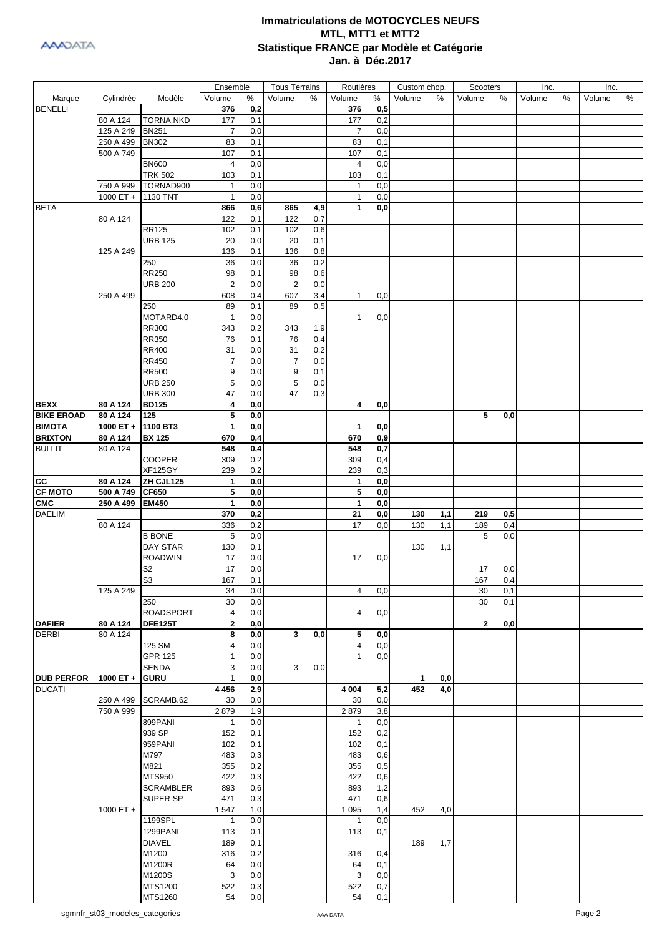

|                   |                    |                  | Ensemble       |     | <b>Tous Terrains</b> |     | Routières      |     | Custom chop. |     | Scooters     |     | Inc.   |   | Inc.   |   |
|-------------------|--------------------|------------------|----------------|-----|----------------------|-----|----------------|-----|--------------|-----|--------------|-----|--------|---|--------|---|
| Marque            | Cylindrée          | Modèle           | Volume         | %   | Volume               | ℅   | Volume         | %   | Volume       | %   | Volume       | %   | Volume | % | Volume | % |
| <b>BENELLI</b>    |                    |                  | 376            | 0,2 |                      |     | 376            | 0,5 |              |     |              |     |        |   |        |   |
|                   | 80 A 124           | <b>TORNA.NKD</b> | 177            | 0,1 |                      |     | 177            | 0,2 |              |     |              |     |        |   |        |   |
|                   | 125 A 249          | <b>BN251</b>     | $\overline{7}$ | 0,0 |                      |     | $\overline{7}$ | 0,0 |              |     |              |     |        |   |        |   |
|                   | 250 A 499          | <b>BN302</b>     | 83             | 0,1 |                      |     | 83             | 0,1 |              |     |              |     |        |   |        |   |
|                   | 500 A 749          |                  | 107            | 0,1 |                      |     | 107            | 0,1 |              |     |              |     |        |   |        |   |
|                   |                    | <b>BN600</b>     | 4              | 0,0 |                      |     | 4              | 0,0 |              |     |              |     |        |   |        |   |
|                   |                    | <b>TRK 502</b>   | 103            | 0,1 |                      |     | 103            | 0,1 |              |     |              |     |        |   |        |   |
|                   | 750 A 999          | TORNAD900        | $\mathbf{1}$   | 0,0 |                      |     | 1              | 0,0 |              |     |              |     |        |   |        |   |
|                   | 1000 ET +          | 1130 TNT         | $\mathbf{1}$   | 0,0 |                      |     | $\mathbf{1}$   | 0,0 |              |     |              |     |        |   |        |   |
|                   |                    |                  |                |     |                      |     |                |     |              |     |              |     |        |   |        |   |
| <b>BETA</b>       |                    |                  | 866            | 0,6 | 865                  | 4,9 | 1              | 0,0 |              |     |              |     |        |   |        |   |
|                   | 80 A 124           |                  | 122            | 0,1 | 122                  | 0,7 |                |     |              |     |              |     |        |   |        |   |
|                   |                    | <b>RR125</b>     | 102            | 0,1 | 102                  | 0,6 |                |     |              |     |              |     |        |   |        |   |
|                   |                    | <b>URB 125</b>   | 20             | 0,0 | 20                   | 0,1 |                |     |              |     |              |     |        |   |        |   |
|                   | 125 A 249          |                  | 136            | 0,1 | 136                  | 0,8 |                |     |              |     |              |     |        |   |        |   |
|                   |                    | 250              | 36             | 0,0 | 36                   | 0,2 |                |     |              |     |              |     |        |   |        |   |
|                   |                    | RR250            | 98             | 0,1 | 98                   | 0,6 |                |     |              |     |              |     |        |   |        |   |
|                   |                    | <b>URB 200</b>   | $\overline{2}$ | 0,0 | 2                    | 0,0 |                |     |              |     |              |     |        |   |        |   |
|                   | 250 A 499          |                  | 608            | 0,4 | 607                  | 3,4 | 1              | 0,0 |              |     |              |     |        |   |        |   |
|                   |                    | 250              | 89             | 0,1 | 89                   | 0,5 |                |     |              |     |              |     |        |   |        |   |
|                   |                    | MOTARD4.0        | $\mathbf{1}$   | 0,0 |                      |     | $\mathbf{1}$   | 0,0 |              |     |              |     |        |   |        |   |
|                   |                    | <b>RR300</b>     | 343            | 0,2 | 343                  | 1,9 |                |     |              |     |              |     |        |   |        |   |
|                   |                    | <b>RR350</b>     | 76             | 0,1 | 76                   | 0,4 |                |     |              |     |              |     |        |   |        |   |
|                   |                    | <b>RR400</b>     | 31             | 0,0 | 31                   | 0,2 |                |     |              |     |              |     |        |   |        |   |
|                   |                    | <b>RR450</b>     | $\overline{7}$ | 0,0 | 7                    | 0,0 |                |     |              |     |              |     |        |   |        |   |
|                   |                    | <b>RR500</b>     | 9              | 0,0 | 9                    | 0,1 |                |     |              |     |              |     |        |   |        |   |
|                   |                    |                  |                |     |                      |     |                |     |              |     |              |     |        |   |        |   |
|                   |                    | <b>URB 250</b>   | $\sqrt{5}$     | 0,0 | 5                    | 0,0 |                |     |              |     |              |     |        |   |        |   |
|                   |                    | <b>URB 300</b>   | 47             | 0,0 | 47                   | 0,3 |                |     |              |     |              |     |        |   |        |   |
| <b>BEXX</b>       | 80 A 124           | <b>BD125</b>     | 4              | 0,0 |                      |     | 4              | 0,0 |              |     |              |     |        |   |        |   |
| <b>BIKE EROAD</b> | 80 A 124           | 125              | 5              | 0,0 |                      |     |                |     |              |     | 5            | 0,0 |        |   |        |   |
| <b>BIMOTA</b>     | 1000 ET + 1100 BT3 |                  | $\mathbf{1}$   | 0,0 |                      |     | $\mathbf 1$    | 0,0 |              |     |              |     |        |   |        |   |
| <b>BRIXTON</b>    | 80 A 124           | <b>BX 125</b>    | 670            | 0,4 |                      |     | 670            | 0,9 |              |     |              |     |        |   |        |   |
| <b>BULLIT</b>     | 80 A 124           |                  | 548            | 0,4 |                      |     | 548            | 0,7 |              |     |              |     |        |   |        |   |
|                   |                    | COOPER           | 309            | 0,2 |                      |     | 309            | 0,4 |              |     |              |     |        |   |        |   |
|                   |                    | <b>XF125GY</b>   | 239            | 0,2 |                      |     | 239            | 0,3 |              |     |              |     |        |   |        |   |
| <b>CC</b>         | 80 A 124           | ZH CJL125        | 1              | 0,0 |                      |     | $\mathbf 1$    | 0,0 |              |     |              |     |        |   |        |   |
| <b>CF MOTO</b>    | 500 A 749          | <b>CF650</b>     | 5              | 0,0 |                      |     | 5              | 0,0 |              |     |              |     |        |   |        |   |
| <b>CMC</b>        | 250 A 499          | <b>EM450</b>     | $\mathbf{1}$   | 0,0 |                      |     | 1              | 0,0 |              |     |              |     |        |   |        |   |
| <b>DAELIM</b>     |                    |                  | 370            | 0,2 |                      |     | 21             | 0,0 | 130          | 1,1 | 219          | 0,5 |        |   |        |   |
|                   | 80 A 124           |                  | 336            | 0,2 |                      |     | 17             | 0,0 | 130          | 1,1 | 189          | 0,4 |        |   |        |   |
|                   |                    | <b>B BONE</b>    | 5              | 0,0 |                      |     |                |     |              |     | 5            | 0,0 |        |   |        |   |
|                   |                    | DAY STAR         | 130            | 0,1 |                      |     |                |     | 130          | 1,1 |              |     |        |   |        |   |
|                   |                    | <b>ROADWIN</b>   | 17             | 0,0 |                      |     | 17             | 0,0 |              |     |              |     |        |   |        |   |
|                   |                    | S <sub>2</sub>   | 17             | 0,0 |                      |     |                |     |              |     | 17           | 0,0 |        |   |        |   |
|                   |                    | ${\sf S3}$       | 167            | 0,1 |                      |     |                |     |              |     | 167          | 0,4 |        |   |        |   |
|                   | 125 A 249          |                  | 34             | 0,0 |                      |     | 4              | 0,0 |              |     | 30           | 0,1 |        |   |        |   |
|                   |                    | 250              | 30             | 0,0 |                      |     |                |     |              |     | 30           | 0,1 |        |   |        |   |
|                   |                    | <b>ROADSPORT</b> | 4              | 0,0 |                      |     | 4              | 0,0 |              |     |              |     |        |   |        |   |
| <b>DAFIER</b>     | 80 A 124           | <b>DFE125T</b>   | 2              | 0,0 |                      |     |                |     |              |     | $\mathbf{2}$ | 0,0 |        |   |        |   |
| <b>DERBI</b>      | 80 A 124           |                  | 8              | 0,0 | 3                    | 0,0 | 5              | 0,0 |              |     |              |     |        |   |        |   |
|                   |                    | 125 SM           | 4              | 0,0 |                      |     | 4              | 0,0 |              |     |              |     |        |   |        |   |
|                   |                    | <b>GPR 125</b>   | $\mathbf{1}$   | 0,0 |                      |     | 1              | 0,0 |              |     |              |     |        |   |        |   |
|                   |                    | <b>SENDA</b>     | 3              | 0,0 | 3                    | 0,0 |                |     |              |     |              |     |        |   |        |   |
| <b>DUB PERFOR</b> | 1000 ET $+$        | <b>GURU</b>      | $\mathbf{1}$   | 0,0 |                      |     |                |     | 1            | 0,0 |              |     |        |   |        |   |
| <b>DUCATI</b>     |                    |                  | 4 4 5 6        | 2,9 |                      |     | 4 0 0 4        | 5,2 | 452          | 4,0 |              |     |        |   |        |   |
|                   | 250 A 499          | SCRAMB.62        | 30             | 0,0 |                      |     | 30             | 0,0 |              |     |              |     |        |   |        |   |
|                   | 750 A 999          |                  | 2879           | 1,9 |                      |     | 2879           | 3,8 |              |     |              |     |        |   |        |   |
|                   |                    | 899PANI          | $\mathbf{1}$   | 0,0 |                      |     | 1              | 0,0 |              |     |              |     |        |   |        |   |
|                   |                    | 939 SP           | 152            | 0,1 |                      |     | 152            | 0,2 |              |     |              |     |        |   |        |   |
|                   |                    | 959PANI          | 102            | 0,1 |                      |     | 102            | 0,1 |              |     |              |     |        |   |        |   |
|                   |                    | M797             | 483            | 0,3 |                      |     | 483            | 0,6 |              |     |              |     |        |   |        |   |
|                   |                    | M821             | 355            | 0,2 |                      |     | 355            | 0,5 |              |     |              |     |        |   |        |   |
|                   |                    |                  |                |     |                      |     |                |     |              |     |              |     |        |   |        |   |
|                   |                    | <b>MTS950</b>    | 422            | 0,3 |                      |     | 422            | 0,6 |              |     |              |     |        |   |        |   |
|                   |                    | <b>SCRAMBLER</b> | 893            | 0,6 |                      |     | 893            | 1,2 |              |     |              |     |        |   |        |   |
|                   |                    | <b>SUPER SP</b>  | 471            | 0,3 |                      |     | 471            | 0,6 |              |     |              |     |        |   |        |   |
|                   | 1000 ET +          |                  | 1547           | 1,0 |                      |     | 1 0 9 5        | 1,4 | 452          | 4,0 |              |     |        |   |        |   |
|                   |                    | 1199SPL          | $\mathbf{1}$   | 0,0 |                      |     | 1              | 0,0 |              |     |              |     |        |   |        |   |
|                   |                    | 1299PANI         | 113            | 0,1 |                      |     | 113            | 0,1 |              |     |              |     |        |   |        |   |
|                   |                    | <b>DIAVEL</b>    | 189            | 0,1 |                      |     |                |     | 189          | 1,7 |              |     |        |   |        |   |
|                   |                    | M1200            | 316            | 0,2 |                      |     | 316            | 0,4 |              |     |              |     |        |   |        |   |
|                   |                    | M1200R           | 64             | 0,0 |                      |     | 64             | 0,1 |              |     |              |     |        |   |        |   |
|                   |                    | M1200S           | 3              | 0,0 |                      |     | 3              | 0,0 |              |     |              |     |        |   |        |   |
|                   |                    | MTS1200          | 522            | 0,3 |                      |     | 522            | 0,7 |              |     |              |     |        |   |        |   |
|                   |                    | MTS1260          | 54             | 0,0 |                      |     | 54             | 0,1 |              |     |              |     |        |   |        |   |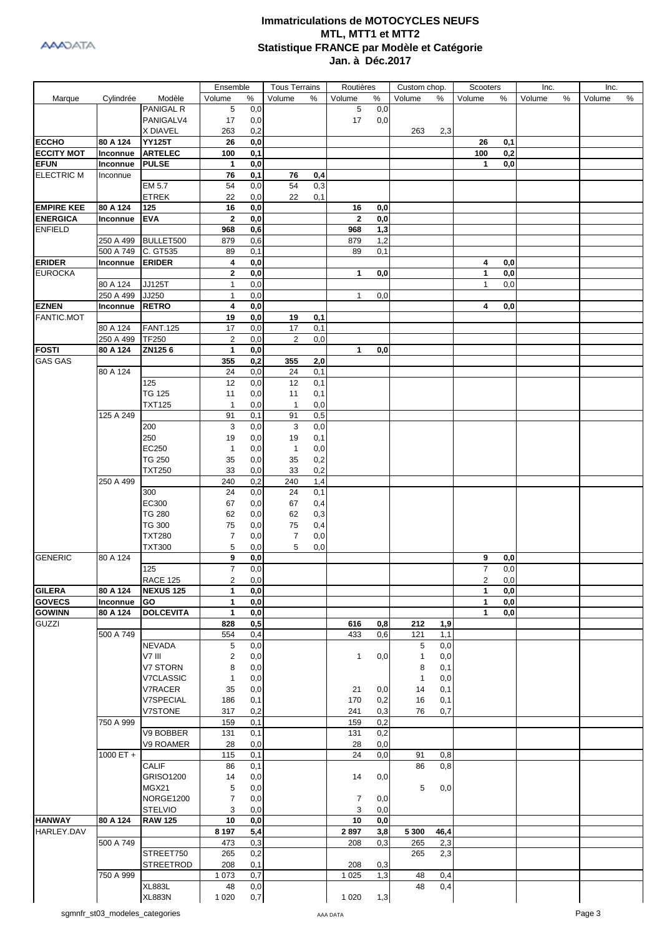|                   |             |                  | Ensemble       |      | <b>Tous Terrains</b> |            | Routières      |      | Custom chop. |      | Scooters       |     | Inc.   |   | Inc.   |      |
|-------------------|-------------|------------------|----------------|------|----------------------|------------|----------------|------|--------------|------|----------------|-----|--------|---|--------|------|
| Marque            | Cylindrée   | Modèle           | Volume         | $\%$ | Volume               | %          | Volume         | $\%$ | Volume       | %    | Volume         | %   | Volume | % | Volume | $\%$ |
|                   |             | <b>PANIGAL R</b> | 5              | 0,0  |                      |            | 5              | 0,0  |              |      |                |     |        |   |        |      |
|                   |             | PANIGALV4        | 17             | 0,0  |                      |            | 17             | 0,0  |              |      |                |     |        |   |        |      |
|                   |             | X DIAVEL         | 263            | 0,2  |                      |            |                |      | 263          | 2,3  |                |     |        |   |        |      |
| <b>ECCHO</b>      | 80 A 124    | <b>YY125T</b>    | 26             | 0,0  |                      |            |                |      |              |      | 26             | 0,1 |        |   |        |      |
| <b>ECCITY MOT</b> | Inconnue    | <b>ARTELEC</b>   | 100            | 0,1  |                      |            |                |      |              |      | 100            | 0,2 |        |   |        |      |
| <b>EFUN</b>       | Inconnue    | <b>PULSE</b>     | $\mathbf{1}$   | 0,0  |                      |            |                |      |              |      | 1              | 0,0 |        |   |        |      |
| <b>ELECTRIC M</b> | Inconnue    |                  | 76             | 0,1  | 76                   | 0,4        |                |      |              |      |                |     |        |   |        |      |
|                   |             | EM 5.7           | 54             | 0,0  | 54                   | 0,3        |                |      |              |      |                |     |        |   |        |      |
|                   |             | <b>ETREK</b>     |                |      |                      |            |                |      |              |      |                |     |        |   |        |      |
|                   |             |                  | 22             | 0,0  | 22                   | 0,1        |                |      |              |      |                |     |        |   |        |      |
| <b>EMPIRE KEE</b> | 80 A 124    | 125              | 16             | 0,0  |                      |            | 16             | 0,0  |              |      |                |     |        |   |        |      |
| <b>ENERGICA</b>   | Inconnue    | <b>EVA</b>       | $\mathbf 2$    | 0,0  |                      |            | $\mathbf{2}$   | 0,0  |              |      |                |     |        |   |        |      |
| <b>ENFIELD</b>    |             |                  | 968            | 0,6  |                      |            | 968            | 1,3  |              |      |                |     |        |   |        |      |
|                   | 250 A 499   | BULLET500        | 879            | 0,6  |                      |            | 879            | 1,2  |              |      |                |     |        |   |        |      |
|                   | 500 A 749   | C. GT535         | 89             | 0,1  |                      |            | 89             | 0,1  |              |      |                |     |        |   |        |      |
| <b>ERIDER</b>     | Inconnue    | <b>ERIDER</b>    | 4              | 0,0  |                      |            |                |      |              |      | 4              | 0,0 |        |   |        |      |
| <b>EUROCKA</b>    |             |                  | $\mathbf{2}$   | 0,0  |                      |            | $\mathbf{1}$   | 0,0  |              |      | 1              | 0,0 |        |   |        |      |
|                   | 80 A 124    | JJ125T           | $\mathbf{1}$   | 0,0  |                      |            |                |      |              |      | $\mathbf{1}$   | 0,0 |        |   |        |      |
|                   | 250 A 499   | JJ250            | $\mathbf{1}$   | 0,0  |                      |            | $\mathbf{1}$   | 0,0  |              |      |                |     |        |   |        |      |
| <b>EZNEN</b>      | Inconnue    | <b>RETRO</b>     | 4              | 0,0  |                      |            |                |      |              |      | 4              | 0,0 |        |   |        |      |
| FANTIC.MOT        |             |                  | 19             | 0,0  | 19                   | 0,1        |                |      |              |      |                |     |        |   |        |      |
|                   | 80 A 124    | <b>FANT.125</b>  | 17             | 0,0  | 17                   | 0,1        |                |      |              |      |                |     |        |   |        |      |
|                   | 250 A 499   | <b>TF250</b>     | $\sqrt{2}$     | 0,0  | 2                    | 0,0        |                |      |              |      |                |     |        |   |        |      |
| <b>FOSTI</b>      | 80 A 124    | ZN1256           | $\mathbf{1}$   | 0,0  |                      |            | $\mathbf{1}$   | 0,0  |              |      |                |     |        |   |        |      |
| <b>GAS GAS</b>    |             |                  | 355            | 0,2  | 355                  |            |                |      |              |      |                |     |        |   |        |      |
|                   | 80 A 124    |                  | 24             | 0,0  | 24                   | 2,0<br>0,1 |                |      |              |      |                |     |        |   |        |      |
|                   |             |                  |                |      |                      |            |                |      |              |      |                |     |        |   |        |      |
|                   |             | 125              | 12             | 0,0  | 12                   | 0,1        |                |      |              |      |                |     |        |   |        |      |
|                   |             | <b>TG 125</b>    | 11             | 0,0  | 11                   | 0,1        |                |      |              |      |                |     |        |   |        |      |
|                   |             | <b>TXT125</b>    | $\mathbf{1}$   | 0,0  | $\mathbf{1}$         | 0,0        |                |      |              |      |                |     |        |   |        |      |
|                   | 125 A 249   |                  | 91             | 0,1  | 91                   | 0,5        |                |      |              |      |                |     |        |   |        |      |
|                   |             | 200              | 3              | 0,0  | 3                    | 0,0        |                |      |              |      |                |     |        |   |        |      |
|                   |             | 250              | 19             | 0,0  | 19                   | 0,1        |                |      |              |      |                |     |        |   |        |      |
|                   |             | EC250            | 1              | 0,0  | $\mathbf{1}$         | 0,0        |                |      |              |      |                |     |        |   |        |      |
|                   |             | <b>TG 250</b>    | 35             | 0,0  | 35                   | 0,2        |                |      |              |      |                |     |        |   |        |      |
|                   |             | <b>TXT250</b>    | 33             | 0,0  | 33                   | 0,2        |                |      |              |      |                |     |        |   |        |      |
|                   | 250 A 499   |                  | 240            | 0,2  | 240                  | 1,4        |                |      |              |      |                |     |        |   |        |      |
|                   |             | 300              | 24             | 0,0  | 24                   | 0,1        |                |      |              |      |                |     |        |   |        |      |
|                   |             | EC300            | 67             | 0,0  | 67                   | 0,4        |                |      |              |      |                |     |        |   |        |      |
|                   |             | <b>TG 280</b>    | 62             | 0,0  | 62                   | 0,3        |                |      |              |      |                |     |        |   |        |      |
|                   |             | <b>TG 300</b>    | 75             |      | 75                   | 0,4        |                |      |              |      |                |     |        |   |        |      |
|                   |             |                  |                | 0,0  |                      |            |                |      |              |      |                |     |        |   |        |      |
|                   |             | <b>TXT280</b>    | $\overline{7}$ | 0,0  | 7                    | 0,0        |                |      |              |      |                |     |        |   |        |      |
|                   |             | <b>TXT300</b>    | 5              | 0,0  | 5                    | 0,0        |                |      |              |      |                |     |        |   |        |      |
| <b>GENERIC</b>    | 80 A 124    |                  | 9              | 0,0  |                      |            |                |      |              |      | 9              | 0,0 |        |   |        |      |
|                   |             | 125              | $\overline{7}$ | 0,0  |                      |            |                |      |              |      | $\overline{7}$ | 0,0 |        |   |        |      |
|                   |             | <b>RACE 125</b>  | 2              | 0,0  |                      |            |                |      |              |      | 2              | 0,0 |        |   |        |      |
| <b>GILERA</b>     | 80 A 124    | <b>NEXUS 125</b> | $\mathbf{1}$   | 0,0  |                      |            |                |      |              |      | $\mathbf{1}$   | 0,0 |        |   |        |      |
| <b>GOVECS</b>     | Inconnue    | GO               | 1              | 0,0  |                      |            |                |      |              |      | 1              | 0,0 |        |   |        |      |
| <b>GOWINN</b>     | 80 A 124    | <b>DOLCEVITA</b> | 1              | 0,0  |                      |            |                |      |              |      | 1              | 0,0 |        |   |        |      |
| <b>GUZZI</b>      |             |                  | 828            | 0,5  |                      |            | 616            | 0,8  | 212          | 1,9  |                |     |        |   |        |      |
|                   | 500 A 749   |                  | 554            | 0,4  |                      |            | 433            | 0,6  | 121          | 1,1  |                |     |        |   |        |      |
|                   |             | <b>NEVADA</b>    | $\,$ 5 $\,$    | 0,0  |                      |            |                |      | 5            | 0,0  |                |     |        |   |        |      |
|                   |             | V7 III           | 2              | 0,0  |                      |            | $\mathbf{1}$   | 0,0  | 1            | 0,0  |                |     |        |   |        |      |
|                   |             | V7 STORN         | 8              | 0,0  |                      |            |                |      | 8            | 0,1  |                |     |        |   |        |      |
|                   |             | <b>V7CLASSIC</b> | $\mathbf{1}$   | 0,0  |                      |            |                |      | $\mathbf{1}$ | 0,0  |                |     |        |   |        |      |
|                   |             | V7RACER          | 35             | 0,0  |                      |            | 21             | 0,0  | 14           | 0,1  |                |     |        |   |        |      |
|                   |             | V7SPECIAL        | 186            | 0,1  |                      |            | 170            | 0,2  | 16           | 0,1  |                |     |        |   |        |      |
|                   |             | <b>V7STONE</b>   |                | 0,2  |                      |            |                | 0,3  | 76           | 0,7  |                |     |        |   |        |      |
|                   |             |                  | 317            |      |                      |            | 241            |      |              |      |                |     |        |   |        |      |
|                   | 750 A 999   |                  | 159            | 0,1  |                      |            | 159            | 0,2  |              |      |                |     |        |   |        |      |
|                   |             | V9 BOBBER        | 131            | 0,1  |                      |            | 131            | 0,2  |              |      |                |     |        |   |        |      |
|                   |             | V9 ROAMER        | 28             | 0,0  |                      |            | 28             | 0,0  |              |      |                |     |        |   |        |      |
|                   | 1000 ET $+$ |                  | 115            | 0,1  |                      |            | 24             | 0,0  | 91           | 0,8  |                |     |        |   |        |      |
|                   |             | CALIF            | 86             | 0,1  |                      |            |                |      | 86           | 0,8  |                |     |        |   |        |      |
|                   |             | GRISO1200        | 14             | 0,0  |                      |            | 14             | 0,0  |              |      |                |     |        |   |        |      |
|                   |             | MGX21            | 5              | 0,0  |                      |            |                |      | 5            | 0,0  |                |     |        |   |        |      |
|                   |             | NORGE1200        | $\overline{7}$ | 0,0  |                      |            | $\overline{7}$ | 0,0  |              |      |                |     |        |   |        |      |
|                   |             | <b>STELVIO</b>   | 3              | 0,0  |                      |            | 3              | 0,0  |              |      |                |     |        |   |        |      |
| <b>HANWAY</b>     | 80 A 124    | <b>RAW 125</b>   | 10             | 0,0  |                      |            | 10             | 0,0  |              |      |                |     |        |   |        |      |
| HARLEY.DAV        |             |                  | 8 1 9 7        | 5,4  |                      |            | 2897           | 3,8  | 5 3 0 0      | 46,4 |                |     |        |   |        |      |
|                   | 500 A 749   |                  | 473            | 0,3  |                      |            | 208            | 0,3  | 265          | 2,3  |                |     |        |   |        |      |
|                   |             | STREET750        | 265            | 0,2  |                      |            |                |      | 265          | 2,3  |                |     |        |   |        |      |
|                   |             | <b>STREETROD</b> | 208            | 0,1  |                      |            | 208            | 0,3  |              |      |                |     |        |   |        |      |
|                   | 750 A 999   |                  | 1 0 7 3        | 0,7  |                      |            | 1 0 2 5        | 1,3  | 48           | 0,4  |                |     |        |   |        |      |
|                   |             | <b>XL883L</b>    | 48             | 0,0  |                      |            |                |      | 48           | 0,4  |                |     |        |   |        |      |
|                   |             |                  |                |      |                      |            |                |      |              |      |                |     |        |   |        |      |
|                   |             | <b>XL883N</b>    | 1 0 2 0        | 0,7  |                      |            | 1 0 2 0        | 1,3  |              |      |                |     |        |   |        |      |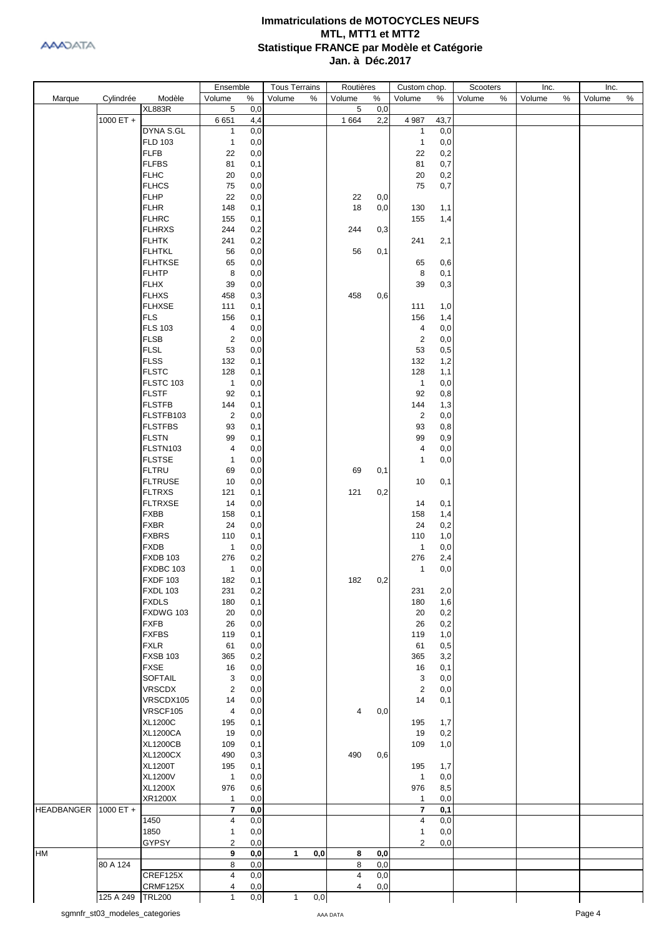|                      |           |                 | Ensemble                |     | <b>Tous Terrains</b> |     | Routières      |     | Custom chop.            |      | Scooters |   | Inc.   |   | Inc.   |   |
|----------------------|-----------|-----------------|-------------------------|-----|----------------------|-----|----------------|-----|-------------------------|------|----------|---|--------|---|--------|---|
| Marque               | Cylindrée | Modèle          | Volume                  | %   | Volume               | %   | Volume         | %   | Volume                  | %    | Volume   | % | Volume | % | Volume | % |
|                      |           | <b>XL883R</b>   | 5                       | 0,0 |                      |     | 5              | 0,0 |                         |      |          |   |        |   |        |   |
|                      | 1000 ET + |                 | 6651                    | 4,4 |                      |     | 1 6 6 4        | 2,2 | 4 9 8 7                 | 43,7 |          |   |        |   |        |   |
|                      |           | DYNA S.GL       | 1                       | 0,0 |                      |     |                |     | $\mathbf{1}$            | 0,0  |          |   |        |   |        |   |
|                      |           | <b>FLD 103</b>  | $\mathbf{1}$            | 0,0 |                      |     |                |     | $\mathbf{1}$            | 0,0  |          |   |        |   |        |   |
|                      |           |                 |                         |     |                      |     |                |     |                         |      |          |   |        |   |        |   |
|                      |           | <b>FLFB</b>     | 22                      | 0,0 |                      |     |                |     | 22                      | 0,2  |          |   |        |   |        |   |
|                      |           | <b>FLFBS</b>    | 81                      | 0,1 |                      |     |                |     | 81                      | 0,7  |          |   |        |   |        |   |
|                      |           | <b>FLHC</b>     | 20                      | 0,0 |                      |     |                |     | 20                      | 0,2  |          |   |        |   |        |   |
|                      |           | <b>FLHCS</b>    | 75                      | 0,0 |                      |     |                |     | 75                      | 0,7  |          |   |        |   |        |   |
|                      |           | <b>FLHP</b>     | 22                      | 0,0 |                      |     | 22             | 0,0 |                         |      |          |   |        |   |        |   |
|                      |           | <b>FLHR</b>     | 148                     | 0,1 |                      |     | 18             | 0,0 | 130                     | 1,1  |          |   |        |   |        |   |
|                      |           | <b>FLHRC</b>    | 155                     | 0,1 |                      |     |                |     | 155                     | 1,4  |          |   |        |   |        |   |
|                      |           | <b>FLHRXS</b>   | 244                     | 0,2 |                      |     | 244            | 0,3 |                         |      |          |   |        |   |        |   |
|                      |           | <b>FLHTK</b>    | 241                     | 0,2 |                      |     |                |     | 241                     | 2,1  |          |   |        |   |        |   |
|                      |           | <b>FLHTKL</b>   | 56                      | 0,0 |                      |     | 56             | 0,1 |                         |      |          |   |        |   |        |   |
|                      |           |                 | 65                      |     |                      |     |                |     |                         |      |          |   |        |   |        |   |
|                      |           | <b>FLHTKSE</b>  |                         | 0,0 |                      |     |                |     | 65                      | 0,6  |          |   |        |   |        |   |
|                      |           | <b>FLHTP</b>    | 8                       | 0,0 |                      |     |                |     | 8                       | 0,1  |          |   |        |   |        |   |
|                      |           | <b>FLHX</b>     | 39                      | 0,0 |                      |     |                |     | 39                      | 0,3  |          |   |        |   |        |   |
|                      |           | <b>FLHXS</b>    | 458                     | 0,3 |                      |     | 458            | 0,6 |                         |      |          |   |        |   |        |   |
|                      |           | <b>FLHXSE</b>   | 111                     | 0,1 |                      |     |                |     | 111                     | 1,0  |          |   |        |   |        |   |
|                      |           | <b>FLS</b>      | 156                     | 0,1 |                      |     |                |     | 156                     | 1,4  |          |   |        |   |        |   |
|                      |           | <b>FLS 103</b>  | 4                       | 0,0 |                      |     |                |     | 4                       | 0,0  |          |   |        |   |        |   |
|                      |           | <b>FLSB</b>     | $\overline{2}$          | 0,0 |                      |     |                |     | $\overline{2}$          | 0,0  |          |   |        |   |        |   |
|                      |           | <b>FLSL</b>     | 53                      | 0,0 |                      |     |                |     | 53                      | 0,5  |          |   |        |   |        |   |
|                      |           | <b>FLSS</b>     | 132                     | 0,1 |                      |     |                |     | 132                     | 1,2  |          |   |        |   |        |   |
|                      |           | <b>FLSTC</b>    | 128                     | 0,1 |                      |     |                |     | 128                     | 1,1  |          |   |        |   |        |   |
|                      |           | FLSTC 103       | $\mathbf{1}$            | 0,0 |                      |     |                |     | $\overline{1}$          | 0,0  |          |   |        |   |        |   |
|                      |           | <b>FLSTF</b>    | 92                      | 0,1 |                      |     |                |     | 92                      | 0,8  |          |   |        |   |        |   |
|                      |           |                 |                         |     |                      |     |                |     |                         |      |          |   |        |   |        |   |
|                      |           | <b>FLSTFB</b>   | 144                     | 0,1 |                      |     |                |     | 144                     | 1,3  |          |   |        |   |        |   |
|                      |           | FLSTFB103       | $\overline{2}$          | 0,0 |                      |     |                |     | $\overline{2}$          | 0,0  |          |   |        |   |        |   |
|                      |           | <b>FLSTFBS</b>  | 93                      | 0,1 |                      |     |                |     | 93                      | 0,8  |          |   |        |   |        |   |
|                      |           | <b>FLSTN</b>    | 99                      | 0,1 |                      |     |                |     | 99                      | 0,9  |          |   |        |   |        |   |
|                      |           | FLSTN103        | 4                       | 0,0 |                      |     |                |     | 4                       | 0,0  |          |   |        |   |        |   |
|                      |           | <b>FLSTSE</b>   | $\mathbf{1}$            | 0,0 |                      |     |                |     | 1                       | 0,0  |          |   |        |   |        |   |
|                      |           | <b>FLTRU</b>    | 69                      | 0,0 |                      |     | 69             | 0,1 |                         |      |          |   |        |   |        |   |
|                      |           | <b>FLTRUSE</b>  | 10                      | 0,0 |                      |     |                |     | 10                      | 0,1  |          |   |        |   |        |   |
|                      |           | <b>FLTRXS</b>   | 121                     | 0,1 |                      |     | 121            | 0,2 |                         |      |          |   |        |   |        |   |
|                      |           | <b>FLTRXSE</b>  | 14                      | 0,0 |                      |     |                |     | 14                      | 0,1  |          |   |        |   |        |   |
|                      |           | <b>FXBB</b>     | 158                     | 0,1 |                      |     |                |     | 158                     | 1,4  |          |   |        |   |        |   |
|                      |           | <b>FXBR</b>     | 24                      | 0,0 |                      |     |                |     | 24                      | 0,2  |          |   |        |   |        |   |
|                      |           | <b>FXBRS</b>    |                         |     |                      |     |                |     |                         |      |          |   |        |   |        |   |
|                      |           |                 | 110                     | 0,1 |                      |     |                |     | 110                     | 1,0  |          |   |        |   |        |   |
|                      |           | <b>FXDB</b>     | $\mathbf{1}$            | 0,0 |                      |     |                |     | $\overline{1}$          | 0,0  |          |   |        |   |        |   |
|                      |           | <b>FXDB 103</b> | 276                     | 0,2 |                      |     |                |     | 276                     | 2,4  |          |   |        |   |        |   |
|                      |           | FXDBC 103       | $\mathbf{1}$            | 0,0 |                      |     |                |     | $\mathbf{1}$            | 0,0  |          |   |        |   |        |   |
|                      |           | <b>FXDF 103</b> | 182                     | 0,1 |                      |     | 182 0,2        |     |                         |      |          |   |        |   |        |   |
|                      |           | <b>FXDL 103</b> | 231                     | 0,2 |                      |     |                |     | 231                     | 2,0  |          |   |        |   |        |   |
|                      |           | <b>FXDLS</b>    | 180                     | 0,1 |                      |     |                |     | 180                     | 1,6  |          |   |        |   |        |   |
|                      |           | FXDWG 103       | 20                      | 0,0 |                      |     |                |     | 20                      | 0,2  |          |   |        |   |        |   |
|                      |           | <b>FXFB</b>     | 26                      | 0,0 |                      |     |                |     | 26                      | 0,2  |          |   |        |   |        |   |
|                      |           | <b>FXFBS</b>    | 119                     | 0,1 |                      |     |                |     | 119                     | 1,0  |          |   |        |   |        |   |
|                      |           | <b>FXLR</b>     | 61                      | 0,0 |                      |     |                |     | 61                      | 0,5  |          |   |        |   |        |   |
|                      |           | <b>FXSB 103</b> | 365                     | 0,2 |                      |     |                |     | 365                     | 3,2  |          |   |        |   |        |   |
|                      |           | <b>FXSE</b>     | 16                      | 0,0 |                      |     |                |     | 16                      | 0,1  |          |   |        |   |        |   |
|                      |           | <b>SOFTAIL</b>  | 3                       | 0,0 |                      |     |                |     | 3                       | 0,0  |          |   |        |   |        |   |
|                      |           |                 |                         |     |                      |     |                |     |                         |      |          |   |        |   |        |   |
|                      |           | <b>VRSCDX</b>   | $\sqrt{2}$              | 0,0 |                      |     |                |     | $\overline{2}$          | 0,0  |          |   |        |   |        |   |
|                      |           | VRSCDX105       | 14                      | 0,0 |                      |     |                |     | 14                      | 0,1  |          |   |        |   |        |   |
|                      |           | VRSCF105        | 4                       | 0,0 |                      |     | $\overline{4}$ | 0,0 |                         |      |          |   |        |   |        |   |
|                      |           | <b>XL1200C</b>  | 195                     | 0,1 |                      |     |                |     | 195                     | 1,7  |          |   |        |   |        |   |
|                      |           | <b>XL1200CA</b> | 19                      | 0,0 |                      |     |                |     | 19                      | 0,2  |          |   |        |   |        |   |
|                      |           | <b>XL1200CB</b> | 109                     | 0,1 |                      |     |                |     | 109                     | 1,0  |          |   |        |   |        |   |
|                      |           | <b>XL1200CX</b> | 490                     | 0,3 |                      |     | 490            | 0,6 |                         |      |          |   |        |   |        |   |
|                      |           | <b>XL1200T</b>  | 195                     | 0,1 |                      |     |                |     | 195                     | 1,7  |          |   |        |   |        |   |
|                      |           | <b>XL1200V</b>  | $\mathbf{1}$            | 0,0 |                      |     |                |     | $\overline{1}$          | 0,0  |          |   |        |   |        |   |
|                      |           | <b>XL1200X</b>  | 976                     | 0,6 |                      |     |                |     | 976                     | 8,5  |          |   |        |   |        |   |
|                      |           | XR1200X         | $\mathbf{1}$            | 0,0 |                      |     |                |     | $\mathbf{1}$            | 0,0  |          |   |        |   |        |   |
| HEADBANGER 1000 ET + |           |                 | 7                       | 0,0 |                      |     |                |     | $\overline{\mathbf{r}}$ | 0,1  |          |   |        |   |        |   |
|                      |           | 1450            | 4                       | 0,0 |                      |     |                |     | 4                       | 0,0  |          |   |        |   |        |   |
|                      |           | 1850            | $\mathbf{1}$            | 0,0 |                      |     |                |     | 1                       | 0,0  |          |   |        |   |        |   |
|                      |           | <b>GYPSY</b>    |                         |     |                      |     |                |     |                         |      |          |   |        |   |        |   |
|                      |           |                 | 2                       | 0,0 |                      |     |                |     | $\overline{c}$          | 0,0  |          |   |        |   |        |   |
| HM                   |           |                 | 9                       | 0,0 | $\mathbf{1}$         | 0,0 | 8              | 0,0 |                         |      |          |   |        |   |        |   |
|                      | 80 A 124  |                 | 8                       | 0,0 |                      |     | 8              | 0,0 |                         |      |          |   |        |   |        |   |
|                      |           | CREF125X        | $\overline{\mathbf{4}}$ | 0,0 |                      |     | $\overline{4}$ | 0,0 |                         |      |          |   |        |   |        |   |
|                      |           | CRMF125X        | 4                       | 0,0 |                      |     | 4              | 0,0 |                         |      |          |   |        |   |        |   |
|                      | 125 A 249 | <b>TRL200</b>   | $\mathbf{1}$            | 0,0 | $\mathbf{1}$         | 0,0 |                |     |                         |      |          |   |        |   |        |   |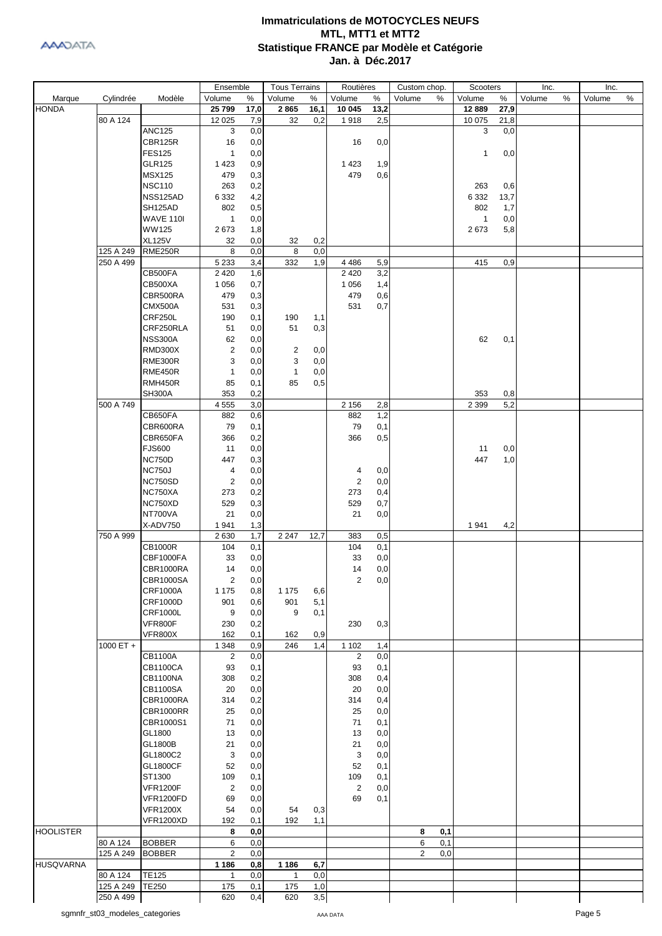

|                  |             |                  | Ensemble       |            | <b>Tous Terrains</b> |       | Routières               |      | Custom chop.          | Scooters     |      | Inc.        | Inc.   |   |
|------------------|-------------|------------------|----------------|------------|----------------------|-------|-------------------------|------|-----------------------|--------------|------|-------------|--------|---|
| Marque           | Cylindrée   | Modèle           | Volume         | $\%$       | Volume               | %     | Volume                  | %    | Volume<br>%           | Volume       | %    | %<br>Volume | Volume | % |
| <b>HONDA</b>     |             |                  | 25 799         | 17,0       | 2865                 | 16,1  | 10 045                  | 13,2 |                       | 12 8 89      | 27,9 |             |        |   |
|                  | 80 A 124    |                  | 12 0 25        | 7,9        | 32                   | 0,2   | 1918                    | 2,5  |                       | 10 075       | 21,8 |             |        |   |
|                  |             | <b>ANC125</b>    | 3              | 0,0        |                      |       |                         |      |                       | 3            | 0,0  |             |        |   |
|                  |             | CBR125R          | 16             | 0,0        |                      |       | 16                      | 0,0  |                       |              |      |             |        |   |
|                  |             | <b>FES125</b>    | $\mathbf{1}$   | 0,0        |                      |       |                         |      |                       | $\mathbf{1}$ | 0,0  |             |        |   |
|                  |             | <b>GLR125</b>    | 1423           | 0,9        |                      |       | 1423                    | 1,9  |                       |              |      |             |        |   |
|                  |             | <b>MSX125</b>    | 479            | 0,3        |                      |       | 479                     | 0,6  |                       |              |      |             |        |   |
|                  |             | <b>NSC110</b>    | 263            | 0,2        |                      |       |                         |      |                       | 263          | 0,6  |             |        |   |
|                  |             | NSS125AD         | 6 3 3 2        | 4,2        |                      |       |                         |      |                       | 6 3 3 2      | 13,7 |             |        |   |
|                  |             | SH125AD          | 802            | 0,5        |                      |       |                         |      |                       | 802          | 1,7  |             |        |   |
|                  |             | <b>WAVE 110I</b> | $\mathbf{1}$   | 0,0        |                      |       |                         |      |                       | $\mathbf{1}$ | 0,0  |             |        |   |
|                  |             | <b>WW125</b>     | 2673           | 1,8        |                      |       |                         |      |                       | 2673         | 5,8  |             |        |   |
|                  |             | <b>XL125V</b>    | 32             | 0,0        | 32                   | 0,2   |                         |      |                       |              |      |             |        |   |
|                  | 125 A 249   | <b>RME250R</b>   | 8              | 0,0        | 8                    | 0,0   |                         |      |                       |              |      |             |        |   |
|                  | 250 A 499   |                  | 5 2 3 3        | 3,4        | 332                  | 1,9   | 4 4 8 6                 | 5,9  |                       | 415          | 0,9  |             |        |   |
|                  |             | CB500FA          | 2 4 2 0        | 1,6        |                      |       | 2 4 2 0                 | 3,2  |                       |              |      |             |        |   |
|                  |             | CB500XA          | 1 0 5 6        | 0,7        |                      |       | 1 0 5 6                 | 1,4  |                       |              |      |             |        |   |
|                  |             | CBR500RA         | 479            | 0,3        |                      |       | 479                     | 0,6  |                       |              |      |             |        |   |
|                  |             | <b>CMX500A</b>   | 531            | 0,3        |                      |       | 531                     | 0,7  |                       |              |      |             |        |   |
|                  |             | CRF250L          | 190            | 0,1        | 190                  | 1,1   |                         |      |                       |              |      |             |        |   |
|                  |             | CRF250RLA        | 51             | 0,0        | 51                   | 0,3   |                         |      |                       |              |      |             |        |   |
|                  |             | <b>NSS300A</b>   | 62             | 0,0        |                      |       |                         |      |                       | 62           | 0,1  |             |        |   |
|                  |             | <b>RMD300X</b>   | $\overline{2}$ | 0,0        | 2                    | 0,0   |                         |      |                       |              |      |             |        |   |
|                  |             | RME300R          | 3              | 0,0        | 3                    | 0,0   |                         |      |                       |              |      |             |        |   |
|                  |             | <b>RME450R</b>   | $\mathbf{1}$   | 0,0        | $\mathbf{1}$         | 0,0   |                         |      |                       |              |      |             |        |   |
|                  |             | RMH450R          |                |            | 85                   | 0,5   |                         |      |                       |              |      |             |        |   |
|                  |             | <b>SH300A</b>    | 85<br>353      | 0,1<br>0,2 |                      |       |                         |      |                       | 353          | 0,8  |             |        |   |
|                  | 500 A 749   |                  |                |            |                      |       |                         |      |                       | 2 3 9 9      | 5,2  |             |        |   |
|                  |             |                  | 4 5 5 5        | 3,0        |                      |       | 2 1 5 6                 | 2,8  |                       |              |      |             |        |   |
|                  |             | CB650FA          | 882            | 0,6        |                      |       | 882                     | 1,2  |                       |              |      |             |        |   |
|                  |             | CBR600RA         | 79             | 0,1        |                      |       | 79                      | 0,1  |                       |              |      |             |        |   |
|                  |             | CBR650FA         | 366            | 0,2        |                      |       | 366                     | 0,5  |                       |              |      |             |        |   |
|                  |             | <b>FJS600</b>    | 11             | 0,0        |                      |       |                         |      |                       | 11           | 0,0  |             |        |   |
|                  |             | <b>NC750D</b>    | 447            | 0,3        |                      |       |                         |      |                       | 447          | 1,0  |             |        |   |
|                  |             | <b>NC750J</b>    | 4              | 0,0        |                      |       | 4                       | 0,0  |                       |              |      |             |        |   |
|                  |             | NC750SD          | $\overline{2}$ | 0,0        |                      |       | $\overline{2}$          | 0,0  |                       |              |      |             |        |   |
|                  |             | NC750XA          | 273            | 0,2        |                      |       | 273                     | 0,4  |                       |              |      |             |        |   |
|                  |             | NC750XD          | 529            | 0,3        |                      |       | 529                     | 0,7  |                       |              |      |             |        |   |
|                  |             | NT700VA          | 21             | 0,0        |                      |       | 21                      | 0,0  |                       |              |      |             |        |   |
|                  |             | X-ADV750         | 1941           | 1,3        |                      |       |                         |      |                       | 1941         | 4,2  |             |        |   |
|                  | 750 A 999   |                  | 2630           | 1,7        | 2 2 4 7              | 12,7  | 383                     | 0,5  |                       |              |      |             |        |   |
|                  |             | CB1000R          | 104            | 0,1        |                      |       | 104                     | 0,1  |                       |              |      |             |        |   |
|                  |             | CBF1000FA        | 33             | 0,0        |                      |       | 33                      | 0,0  |                       |              |      |             |        |   |
|                  |             | CBR1000RA        | 14             | 0,0        |                      |       | 14                      | 0,0  |                       |              |      |             |        |   |
|                  |             | CBR1000SA        | $\overline{c}$ | 0,0        |                      |       | $\overline{\mathbf{c}}$ | 0,0  |                       |              |      |             |        |   |
|                  |             | <b>CRF1000A</b>  | 1 1 7 5        | 0,8        | 1 1 7 5              | 6,6   |                         |      |                       |              |      |             |        |   |
|                  |             | <b>CRF1000D</b>  | 901            | 0,6        | 901                  | 5,1   |                         |      |                       |              |      |             |        |   |
|                  |             | <b>CRF1000L</b>  | 9              | 0,0        | 9                    | 0,1   |                         |      |                       |              |      |             |        |   |
|                  |             | VFR800F          | 230            | 0,2        |                      |       | 230                     | 0,3  |                       |              |      |             |        |   |
|                  |             | <b>VFR800X</b>   | 162            | 0,1        | 162                  | 0,9   |                         |      |                       |              |      |             |        |   |
|                  | $1000 ET +$ |                  | 1 3 4 8        | 0,9        | 246                  | 1,4   | 1 1 0 2                 | 1,4  |                       |              |      |             |        |   |
|                  |             | <b>CB1100A</b>   | $\overline{2}$ | 0,0        |                      |       | $\overline{2}$          | 0,0  |                       |              |      |             |        |   |
|                  |             | <b>CB1100CA</b>  | 93             | 0,1        |                      |       | 93                      | 0,1  |                       |              |      |             |        |   |
|                  |             | <b>CB1100NA</b>  | 308            | 0,2        |                      |       | 308                     | 0,4  |                       |              |      |             |        |   |
|                  |             | <b>CB1100SA</b>  | 20             | 0,0        |                      |       | 20                      | 0,0  |                       |              |      |             |        |   |
|                  |             | CBR1000RA        | 314            | 0,2        |                      |       | 314                     | 0,4  |                       |              |      |             |        |   |
|                  |             | CBR1000RR        | 25             | 0,0        |                      |       | 25                      | 0,0  |                       |              |      |             |        |   |
|                  |             | CBR1000S1        | 71             | 0,0        |                      |       | 71                      | 0,1  |                       |              |      |             |        |   |
|                  |             | GL1800           | 13             | 0,0        |                      |       | 13                      | 0,0  |                       |              |      |             |        |   |
|                  |             | GL1800B          | 21             | 0,0        |                      |       | 21                      | 0,0  |                       |              |      |             |        |   |
|                  |             | GL1800C2         | 3              | 0,0        |                      |       | 3                       | 0,0  |                       |              |      |             |        |   |
|                  |             | <b>GL1800CF</b>  | 52             | 0,0        |                      |       | 52                      | 0,1  |                       |              |      |             |        |   |
|                  |             | ST1300           | 109            | 0,1        |                      |       | 109                     | 0,1  |                       |              |      |             |        |   |
|                  |             | <b>VFR1200F</b>  | 2              | 0,0        |                      |       | $\overline{2}$          | 0,0  |                       |              |      |             |        |   |
|                  |             | VFR1200FD        | 69             | 0,0        |                      |       | 69                      | 0,1  |                       |              |      |             |        |   |
|                  |             | <b>VFR1200X</b>  | 54             | 0,0        | 54                   | 0,3   |                         |      |                       |              |      |             |        |   |
|                  |             | <b>VFR1200XD</b> | 192            | 0,1        | 192                  | 1,1   |                         |      |                       |              |      |             |        |   |
| <b>HOOLISTER</b> |             |                  | 8              | 0,0        |                      |       |                         |      | 8<br>0,1              |              |      |             |        |   |
|                  | 80 A 124    | <b>BOBBER</b>    | 6              | 0,0        |                      |       |                         |      | 6<br>0,1              |              |      |             |        |   |
|                  | 125 A 249   | <b>BOBBER</b>    | $\overline{2}$ | 0,0        |                      |       |                         |      | $\overline{2}$<br>0,0 |              |      |             |        |   |
| <b>HUSQVARNA</b> |             |                  | 1 1 8 6        | 0,8        | 1 1 8 6              | 6,7   |                         |      |                       |              |      |             |        |   |
|                  | 80 A 124    | <b>TE125</b>     | 1              | 0,0        | 1                    | 0,0   |                         |      |                       |              |      |             |        |   |
|                  | 125 A 249   | <b>TE250</b>     | 175            | 0,1        | 175                  | 1,0   |                         |      |                       |              |      |             |        |   |
|                  | 250 A 499   |                  | 620            | 0,4        | 620                  | $3,5$ |                         |      |                       |              |      |             |        |   |
|                  |             |                  |                |            |                      |       |                         |      |                       |              |      |             |        |   |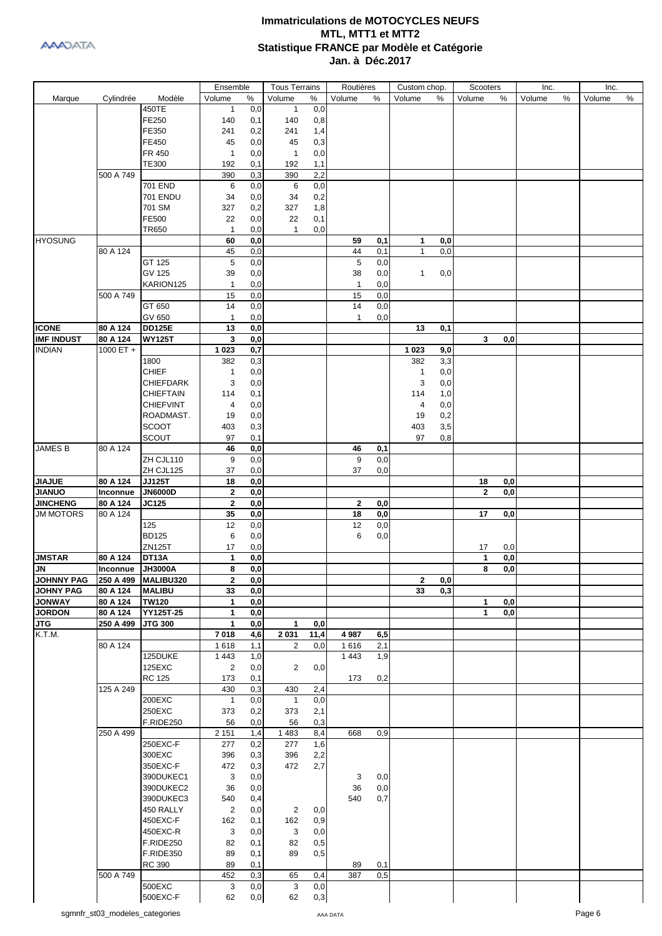

|                                       |           |                                        | Ensemble           |            | <b>Tous Terrains</b> |      | Routières    |     | Custom chop. |             | Scooters     |                | Inc.   |   | Inc.   |      |
|---------------------------------------|-----------|----------------------------------------|--------------------|------------|----------------------|------|--------------|-----|--------------|-------------|--------------|----------------|--------|---|--------|------|
| Marque                                | Cylindrée | Modèle                                 | Volume             | $\%$       | Volume               | ℅    | Volume       | ℅   | Volume       | %           | Volume       | %              | Volume | % | Volume | $\%$ |
|                                       |           | 450TE                                  | $\mathbf{1}$       | 0,0        | $\mathbf{1}$         | 0,0  |              |     |              |             |              |                |        |   |        |      |
|                                       |           | FE250                                  | 140                | 0,1        | 140                  | 0,8  |              |     |              |             |              |                |        |   |        |      |
|                                       |           | FE350                                  | 241                | 0,2        | 241                  | 1,4  |              |     |              |             |              |                |        |   |        |      |
|                                       |           | FE450                                  | 45                 | 0,0        | 45                   | 0,3  |              |     |              |             |              |                |        |   |        |      |
|                                       |           | FR 450                                 | $\mathbf{1}$       | 0,0        | $\mathbf{1}$         | 0,0  |              |     |              |             |              |                |        |   |        |      |
|                                       |           | <b>TE300</b>                           | 192                | 0,1        | 192                  | 1,1  |              |     |              |             |              |                |        |   |        |      |
|                                       | 500 A 749 |                                        | 390                | 0,3        | 390                  | 2,2  |              |     |              |             |              |                |        |   |        |      |
|                                       |           | 701 END                                | 6                  | 0,0        | 6                    | 0,0  |              |     |              |             |              |                |        |   |        |      |
|                                       |           | <b>701 ENDU</b>                        | 34                 | 0,0        | 34                   | 0,2  |              |     |              |             |              |                |        |   |        |      |
|                                       |           | 701 SM                                 | 327                | 0,2        | 327                  | 1,8  |              |     |              |             |              |                |        |   |        |      |
|                                       |           | FE500                                  | 22                 | 0,0        | 22                   | 0,1  |              |     |              |             |              |                |        |   |        |      |
|                                       |           | TR650                                  | $\mathbf{1}$       | 0,0        | $\mathbf{1}$         | 0,0  |              |     |              |             |              |                |        |   |        |      |
| <b>HYOSUNG</b>                        |           |                                        | 60                 | 0,0        |                      |      | 59           | 0,1 | 1            | 0,0         |              |                |        |   |        |      |
|                                       | 80 A 124  |                                        | 45                 | 0,0        |                      |      | 44           | 0,1 | 1            | 0,0         |              |                |        |   |        |      |
|                                       |           | GT 125                                 | 5                  | 0,0        |                      |      | 5            | 0,0 |              |             |              |                |        |   |        |      |
|                                       |           | GV 125                                 | 39                 | 0,0        |                      |      | 38           | 0,0 | 1            | 0,0         |              |                |        |   |        |      |
|                                       |           | KARION125                              | 1                  | 0,0        |                      |      | $\mathbf{1}$ | 0,0 |              |             |              |                |        |   |        |      |
|                                       | 500 A 749 |                                        | 15                 | 0,0        |                      |      | 15           | 0,0 |              |             |              |                |        |   |        |      |
|                                       |           | GT 650                                 | 14                 | 0,0        |                      |      | 14           | 0,0 |              |             |              |                |        |   |        |      |
|                                       |           | GV 650                                 | 1                  | 0,0        |                      |      | 1            | 0,0 |              |             |              |                |        |   |        |      |
| <b>ICONE</b>                          | 80 A 124  | <b>DD125E</b>                          | 13                 | 0,0        |                      |      |              |     | 13           | 0,1         |              |                |        |   |        |      |
| <b>IMF INDUST</b>                     | 80 A 124  | <b>WY125T</b>                          | 3                  | 0,0        |                      |      |              |     |              |             | 3            | 0,0            |        |   |        |      |
| <b>INDIAN</b>                         | 1000 ET + |                                        | 1 0 2 3            | 0,7        |                      |      |              |     | 1 0 2 3      | 9,0         |              |                |        |   |        |      |
|                                       |           | 1800                                   | 382                | 0,3        |                      |      |              |     | 382          | 3,3         |              |                |        |   |        |      |
|                                       |           | <b>CHIEF</b>                           | 1                  | 0,0        |                      |      |              |     | $\mathbf{1}$ | 0,0         |              |                |        |   |        |      |
|                                       |           | <b>CHIEFDARK</b>                       | 3                  | 0,0        |                      |      |              |     | 3            | 0,0         |              |                |        |   |        |      |
|                                       |           | CHIEFTAIN                              | 114                | 0,1        |                      |      |              |     | 114          | 1,0         |              |                |        |   |        |      |
|                                       |           | <b>CHIEFVINT</b>                       | 4                  | 0,0        |                      |      |              |     | 4            | 0,0         |              |                |        |   |        |      |
|                                       |           | ROADMAST.                              | 19                 | 0,0        |                      |      |              |     | 19           | 0,2         |              |                |        |   |        |      |
|                                       |           | <b>SCOOT</b>                           | 403                | 0,3        |                      |      |              |     | 403          | 3,5         |              |                |        |   |        |      |
|                                       |           | SCOUT                                  | 97                 | 0,1        |                      |      |              |     | 97           | 0,8         |              |                |        |   |        |      |
| <b>JAMES B</b>                        | 80 A 124  |                                        | 46                 | 0,0        |                      |      | 46           | 0,1 |              |             |              |                |        |   |        |      |
|                                       |           | ZH CJL110                              | 9                  | 0,0        |                      |      | 9            | 0,0 |              |             |              |                |        |   |        |      |
|                                       |           | ZH CJL125                              | 37                 | 0,0        |                      |      | 37           | 0,0 |              |             |              |                |        |   |        |      |
| <b>JIAJUE</b>                         | 80 A 124  | <b>JJ125T</b>                          | 18                 | 0,0        |                      |      |              |     |              |             | 18           | 0,0            |        |   |        |      |
| <b>JIANUO</b>                         | Inconnue  | <b>JN6000D</b>                         | 2                  | 0,0        |                      |      |              |     |              |             | $\mathbf{2}$ | 0,0            |        |   |        |      |
| <b>JINCHENG</b>                       | 80 A 124  | <b>JC125</b>                           | $\overline{2}$     | 0,0        |                      |      | 2            | 0,0 |              |             |              |                |        |   |        |      |
| <b>JM MOTORS</b>                      | 80 A 124  |                                        | 35                 | 0,0        |                      |      | 18           | 0,0 |              |             | 17           | 0,0            |        |   |        |      |
|                                       |           | 125                                    | 12                 | 0,0        |                      |      | 12           | 0,0 |              |             |              |                |        |   |        |      |
|                                       |           | <b>BD125</b>                           | 6                  | 0,0        |                      |      | 6            | 0,0 |              |             |              |                |        |   |        |      |
|                                       |           | ZN125T                                 | 17                 | 0,0        |                      |      |              |     |              |             | 17           | 0,0            |        |   |        |      |
| <b>JMSTAR</b>                         | 80 A 124  | DT13A                                  | 1                  | 0,0        |                      |      |              |     |              |             | 1            | $\mathbf{0,0}$ |        |   |        |      |
| JN                                    | Inconnue  | <b>JH3000A</b>                         | 8                  | 0,0        |                      |      |              |     |              |             | 8            | 0,0            |        |   |        |      |
| <b>JOHNNY PAG</b><br><b>JOHNY PAG</b> | 80 A 124  | 250 A 499   MALIBU320<br><b>MALIBU</b> | 2<br>33            | 0,0<br>0,0 |                      |      |              |     | 2<br>33      | 0, 0<br>0,3 |              |                |        |   |        |      |
| <b>JONWAY</b>                         | 80 A 124  | TW120                                  | $\mathbf{1}$       | 0,0        |                      |      |              |     |              |             | 1            | 0,0            |        |   |        |      |
| <b>JORDON</b>                         | 80 A 124  | YY125T-25                              | $\mathbf{1}$       | 0,0        |                      |      |              |     |              |             | 1            | 0,0            |        |   |        |      |
| <b>JTG</b>                            | 250 A 499 | <b>JTG 300</b>                         | $\mathbf{1}$       | 0,0        | $\mathbf{1}$         | 0,0  |              |     |              |             |              |                |        |   |        |      |
| K.T.M.                                |           |                                        | 7018               | 4,6        | 2031                 | 11,4 | 4 9 8 7      | 6,5 |              |             |              |                |        |   |        |      |
|                                       | 80 A 124  |                                        | 1618               | 1,1        | 2                    | 0,0  | 1616         | 2,1 |              |             |              |                |        |   |        |      |
|                                       |           | 125DUKE                                | 1 4 4 3            | 1,0        |                      |      | 1 4 4 3      | 1,9 |              |             |              |                |        |   |        |      |
|                                       |           | 125EXC                                 | 2                  | 0,0        | $\overline{c}$       | 0,0  |              |     |              |             |              |                |        |   |        |      |
|                                       |           | <b>RC 125</b>                          | 173                | 0,1        |                      |      | 173          | 0,2 |              |             |              |                |        |   |        |      |
|                                       | 125 A 249 |                                        | 430                | 0,3        | 430                  | 2,4  |              |     |              |             |              |                |        |   |        |      |
|                                       |           | 200EXC                                 | $\mathbf{1}$       | 0,0        | $\mathbf{1}$         | 0,0  |              |     |              |             |              |                |        |   |        |      |
|                                       |           | 250EXC                                 | 373                | 0,2        | 373                  | 2,1  |              |     |              |             |              |                |        |   |        |      |
|                                       |           | F.RIDE250                              | 56                 | 0,0        | 56                   | 0,3  |              |     |              |             |              |                |        |   |        |      |
|                                       | 250 A 499 |                                        | $\overline{2}$ 151 | 1,4        | 1483                 | 8,4  | 668          | 0,9 |              |             |              |                |        |   |        |      |
|                                       |           | 250EXC-F                               | 277                | 0,2        | 277                  | 1,6  |              |     |              |             |              |                |        |   |        |      |
|                                       |           | 300EXC                                 | 396                | 0,3        | 396                  | 2,2  |              |     |              |             |              |                |        |   |        |      |
|                                       |           | 350EXC-F                               | 472                | 0,3        | 472                  | 2,7  |              |     |              |             |              |                |        |   |        |      |
|                                       |           | 390DUKEC1                              | 3                  | 0,0        |                      |      | 3            | 0,0 |              |             |              |                |        |   |        |      |
|                                       |           | 390DUKEC2                              | 36                 | 0,0        |                      |      | 36           | 0,0 |              |             |              |                |        |   |        |      |
|                                       |           | 390DUKEC3                              | 540                | 0,4        |                      |      | 540          | 0,7 |              |             |              |                |        |   |        |      |
|                                       |           | 450 RALLY                              | $\overline{2}$     | 0,0        | $\overline{2}$       | 0,0  |              |     |              |             |              |                |        |   |        |      |
|                                       |           | 450EXC-F                               | 162                | 0,1        | 162                  | 0,9  |              |     |              |             |              |                |        |   |        |      |
|                                       |           | 450EXC-R                               | 3                  | 0,0        | 3                    | 0,0  |              |     |              |             |              |                |        |   |        |      |
|                                       |           | F.RIDE250                              | 82                 | 0,1        | 82                   | 0,5  |              |     |              |             |              |                |        |   |        |      |
|                                       |           | F.RIDE350                              | 89                 | 0,1        | 89                   | 0,5  |              |     |              |             |              |                |        |   |        |      |
|                                       |           | RC 390                                 | 89                 | 0,1        |                      |      | 89           | 0,1 |              |             |              |                |        |   |        |      |
|                                       | 500 A 749 |                                        | 452                | 0,3        | 65                   | 0,4  | 387          | 0,5 |              |             |              |                |        |   |        |      |
|                                       |           | 500EXC                                 | 3                  | 0,0        | 3                    | 0,0  |              |     |              |             |              |                |        |   |        |      |
|                                       |           | 500EXC-F                               | 62                 | 0,0        | 62                   | 0,3  |              |     |              |             |              |                |        |   |        |      |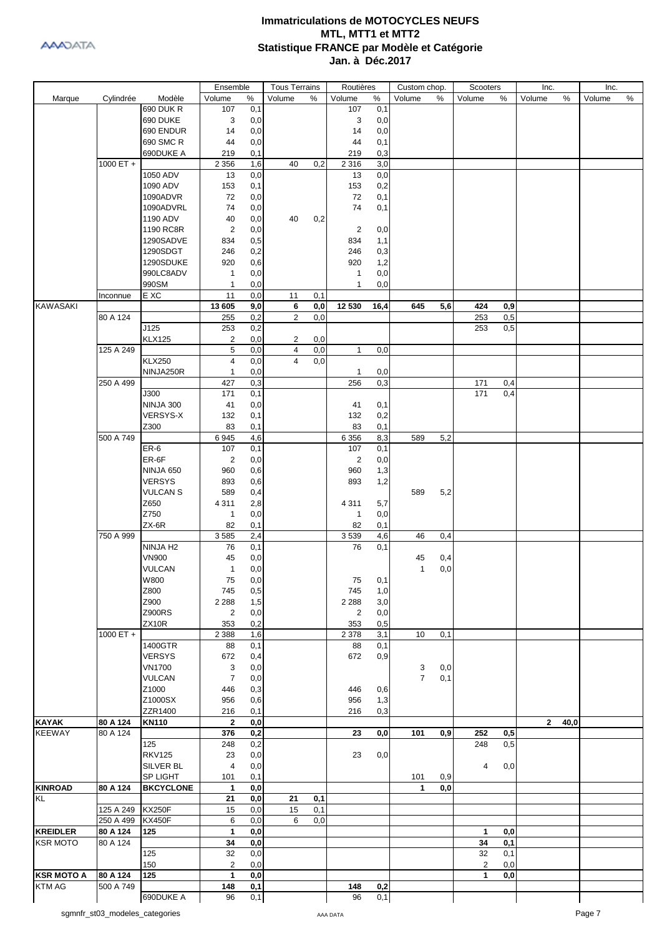

|                   |             |                      | Ensemble       |      | <b>Tous Terrains</b> |     | Routières      |      | Custom chop.   |      | Scooters       |     | Inc.         |      | Inc.   |   |
|-------------------|-------------|----------------------|----------------|------|----------------------|-----|----------------|------|----------------|------|----------------|-----|--------------|------|--------|---|
| Marque            | Cylindrée   | Modèle               | Volume         | $\%$ | Volume               | %   | Volume         | $\%$ | Volume         | $\%$ | Volume         | %   | Volume       | %    | Volume | % |
|                   |             | <b>690 DUK R</b>     | 107            | 0,1  |                      |     | 107            | 0,1  |                |      |                |     |              |      |        |   |
|                   |             | 690 DUKE             | 3              | 0,0  |                      |     | 3              | 0,0  |                |      |                |     |              |      |        |   |
|                   |             | 690 ENDUR            | 14             | 0,0  |                      |     | 14             | 0,0  |                |      |                |     |              |      |        |   |
|                   |             | 690 SMC R            | 44             | 0,0  |                      |     | 44             | 0,1  |                |      |                |     |              |      |        |   |
|                   |             | 690DUKE A            | 219            | 0,1  |                      |     | 219            | 0,3  |                |      |                |     |              |      |        |   |
|                   | 1000 ET $+$ |                      | 2 3 5 6        | 1,6  | 40                   | 0,2 | 2 3 1 6        | 3,0  |                |      |                |     |              |      |        |   |
|                   |             | 1050 ADV             | 13             | 0,0  |                      |     | 13             | 0,0  |                |      |                |     |              |      |        |   |
|                   |             | 1090 ADV             | 153            | 0,1  |                      |     | 153            | 0,2  |                |      |                |     |              |      |        |   |
|                   |             | 1090ADVR             | 72             |      |                      |     | 72             | 0,1  |                |      |                |     |              |      |        |   |
|                   |             |                      |                | 0,0  |                      |     |                |      |                |      |                |     |              |      |        |   |
|                   |             | 1090ADVRL            | 74             | 0,0  |                      |     | 74             | 0,1  |                |      |                |     |              |      |        |   |
|                   |             | 1190 ADV             | 40             | 0,0  | 40                   | 0,2 |                |      |                |      |                |     |              |      |        |   |
|                   |             | 1190 RC8R            | $\overline{2}$ | 0,0  |                      |     | $\overline{2}$ | 0,0  |                |      |                |     |              |      |        |   |
|                   |             | 1290SADVE            | 834            | 0,5  |                      |     | 834            | 1,1  |                |      |                |     |              |      |        |   |
|                   |             | 1290SDGT             | 246            | 0,2  |                      |     | 246            | 0,3  |                |      |                |     |              |      |        |   |
|                   |             | 1290SDUKE            | 920            | 0,6  |                      |     | 920            | 1,2  |                |      |                |     |              |      |        |   |
|                   |             | 990LC8ADV            | 1              | 0,0  |                      |     | $\mathbf{1}$   | 0,0  |                |      |                |     |              |      |        |   |
|                   |             | 990SM                | $\mathbf{1}$   | 0,0  |                      |     | 1              | 0,0  |                |      |                |     |              |      |        |   |
|                   | Inconnue    | E XC                 | 11             | 0,0  | 11                   | 0,1 |                |      |                |      |                |     |              |      |        |   |
| <b>KAWASAKI</b>   |             |                      | 13 605         | 9,0  | 6                    | 0,0 | 12 530         | 16,4 | 645            | 5,6  | 424            | 0,9 |              |      |        |   |
|                   | 80 A 124    |                      | 255            | 0,2  | $\overline{2}$       | 0,0 |                |      |                |      | 253            | 0,5 |              |      |        |   |
|                   |             | J125                 | 253            | 0,2  |                      |     |                |      |                |      | 253            | 0,5 |              |      |        |   |
|                   |             | <b>KLX125</b>        | 2              | 0,0  | 2                    | 0,0 |                |      |                |      |                |     |              |      |        |   |
|                   | 125 A 249   |                      | 5              | 0,0  | $\overline{4}$       | 0,0 | $\mathbf{1}$   | 0,0  |                |      |                |     |              |      |        |   |
|                   |             | <b>KLX250</b>        | 4              | 0,0  | $\overline{4}$       | 0,0 |                |      |                |      |                |     |              |      |        |   |
|                   |             | NINJA250R            | 1              | 0,0  |                      |     | 1              | 0,0  |                |      |                |     |              |      |        |   |
|                   | 250 A 499   |                      | 427            | 0,3  |                      |     | 256            | 0,3  |                |      | 171            | 0,4 |              |      |        |   |
|                   |             | J300                 | 171            | 0,1  |                      |     |                |      |                |      | 171            | 0,4 |              |      |        |   |
|                   |             | NINJA 300            | 41             | 0,0  |                      |     | 41             | 0,1  |                |      |                |     |              |      |        |   |
|                   |             | <b>VERSYS-X</b>      | 132            | 0,1  |                      |     | 132            | 0,2  |                |      |                |     |              |      |        |   |
|                   |             | Z300                 | 83             | 0,1  |                      |     | 83             | 0,1  |                |      |                |     |              |      |        |   |
|                   | 500 A 749   |                      | 6945           | 4,6  |                      |     | 6 3 5 6        | 8,3  | 589            | 5,2  |                |     |              |      |        |   |
|                   |             | ER-6                 | 107            | 0,1  |                      |     | 107            | 0,1  |                |      |                |     |              |      |        |   |
|                   |             | ER-6F                | 2              | 0,0  |                      |     | $\overline{2}$ | 0,0  |                |      |                |     |              |      |        |   |
|                   |             | NINJA 650            | 960            | 0,6  |                      |     | 960            | 1,3  |                |      |                |     |              |      |        |   |
|                   |             | <b>VERSYS</b>        | 893            | 0,6  |                      |     | 893            | 1,2  |                |      |                |     |              |      |        |   |
|                   |             |                      |                |      |                      |     |                |      |                |      |                |     |              |      |        |   |
|                   |             | <b>VULCAN S</b>      | 589            | 0,4  |                      |     |                |      | 589            | 5,2  |                |     |              |      |        |   |
|                   |             | Z650                 | 4 3 1 1        | 2,8  |                      |     | 4311           | 5,7  |                |      |                |     |              |      |        |   |
|                   |             | Z750                 | 1              | 0,0  |                      |     | $\mathbf{1}$   | 0,0  |                |      |                |     |              |      |        |   |
|                   |             | $ZX-6R$              | 82             | 0,1  |                      |     | 82             | 0,1  |                |      |                |     |              |      |        |   |
|                   | 750 A 999   |                      | 3585           | 2,4  |                      |     | 3539           | 4,6  | 46             | 0,4  |                |     |              |      |        |   |
|                   |             | NINJA H <sub>2</sub> | 76             | 0,1  |                      |     | 76             | 0,1  |                |      |                |     |              |      |        |   |
|                   |             | <b>VN900</b>         | 45             | 0,0  |                      |     |                |      | 45             | 0,4  |                |     |              |      |        |   |
|                   |             | <b>VULCAN</b>        | $\mathbf{1}$   | 0,0  |                      |     |                |      | 1              | 0,0  |                |     |              |      |        |   |
|                   |             | W800                 | 75             | 0,0  |                      |     | ${\bf 75}$     | 0,1  |                |      |                |     |              |      |        |   |
|                   |             | Z800                 | 745            | 0,5  |                      |     | 745            | 1,0  |                |      |                |     |              |      |        |   |
|                   |             | Z900                 | 2 2 8 8        | 1,5  |                      |     | 2 2 8 8        | 3,0  |                |      |                |     |              |      |        |   |
|                   |             | <b>Z900RS</b>        | 2              | 0,0  |                      |     | $\overline{2}$ | 0,0  |                |      |                |     |              |      |        |   |
|                   |             | ZX10R                | 353            | 0,2  |                      |     | 353            | 0,5  |                |      |                |     |              |      |        |   |
|                   | 1000 ET +   |                      | 2 3 8 8        | 1,6  |                      |     | 2 3 7 8        | 3,1  | 10             | 0,1  |                |     |              |      |        |   |
|                   |             | 1400GTR              | 88             | 0,1  |                      |     | 88             | 0,1  |                |      |                |     |              |      |        |   |
|                   |             | <b>VERSYS</b>        | 672            | 0,4  |                      |     | 672            | 0,9  |                |      |                |     |              |      |        |   |
|                   |             | <b>VN1700</b>        | 3              | 0,0  |                      |     |                |      | 3              | 0,0  |                |     |              |      |        |   |
|                   |             | <b>VULCAN</b>        | $\overline{7}$ | 0,0  |                      |     |                |      | $\overline{7}$ | 0,1  |                |     |              |      |        |   |
|                   |             | Z1000                | 446            | 0,3  |                      |     | 446            | 0,6  |                |      |                |     |              |      |        |   |
|                   |             | Z1000SX              | 956            | 0,6  |                      |     | 956            | 1,3  |                |      |                |     |              |      |        |   |
|                   |             | ZZR1400              | 216            | 0,1  |                      |     | 216            | 0,3  |                |      |                |     |              |      |        |   |
| <b>KAYAK</b>      | 80 A 124    | <b>KN110</b>         | $\mathbf 2$    | 0,0  |                      |     |                |      |                |      |                |     | $\mathbf{2}$ | 40,0 |        |   |
| <b>KEEWAY</b>     | 80 A 124    |                      | 376            | 0,2  |                      |     | 23             | 0,0  | 101            | 0,9  | 252            | 0,5 |              |      |        |   |
|                   |             | 125                  | 248            | 0,2  |                      |     |                |      |                |      | 248            | 0,5 |              |      |        |   |
|                   |             | <b>RKV125</b>        | 23             | 0,0  |                      |     | 23             | 0,0  |                |      |                |     |              |      |        |   |
|                   |             | SILVER BL            | 4              | 0,0  |                      |     |                |      |                |      | 4              | 0,0 |              |      |        |   |
|                   |             | SP LIGHT             | 101            | 0,1  |                      |     |                |      | 101            | 0,9  |                |     |              |      |        |   |
| <b>KINROAD</b>    | 80 A 124    | <b>BKCYCLONE</b>     | 1              | 0,0  |                      |     |                |      | 1              | 0,0  |                |     |              |      |        |   |
| <b>KL</b>         |             |                      | 21             | 0,0  | 21                   | 0,1 |                |      |                |      |                |     |              |      |        |   |
|                   | 125 A 249   | <b>KX250F</b>        | 15             | 0,0  | 15                   | 0,1 |                |      |                |      |                |     |              |      |        |   |
|                   | 250 A 499   | <b>KX450F</b>        | 6              | 0,0  | 6                    | 0,0 |                |      |                |      |                |     |              |      |        |   |
|                   |             |                      | $\mathbf{1}$   |      |                      |     |                |      |                |      |                |     |              |      |        |   |
| <b>KREIDLER</b>   | 80 A 124    | 125                  |                | 0,0  |                      |     |                |      |                |      | 1              | 0,0 |              |      |        |   |
| <b>KSR MOTO</b>   | 80 A 124    |                      | 34             | 0,0  |                      |     |                |      |                |      | 34             | 0,1 |              |      |        |   |
|                   |             | 125                  | 32             | 0,0  |                      |     |                |      |                |      | 32             | 0,1 |              |      |        |   |
|                   |             | 150                  | $\overline{c}$ | 0,0  |                      |     |                |      |                |      | $\overline{2}$ | 0,0 |              |      |        |   |
| <b>KSR MOTO A</b> | 80 A 124    | 125                  | 1              | 0,0  |                      |     |                |      |                |      | 1              | 0,0 |              |      |        |   |
| KTM AG            | 500 A 749   |                      | 148            | 0,1  |                      |     | 148            | 0,2  |                |      |                |     |              |      |        |   |
|                   |             | 690DUKE A            | 96             | 0,1  |                      |     | 96             | 0,1  |                |      |                |     |              |      |        |   |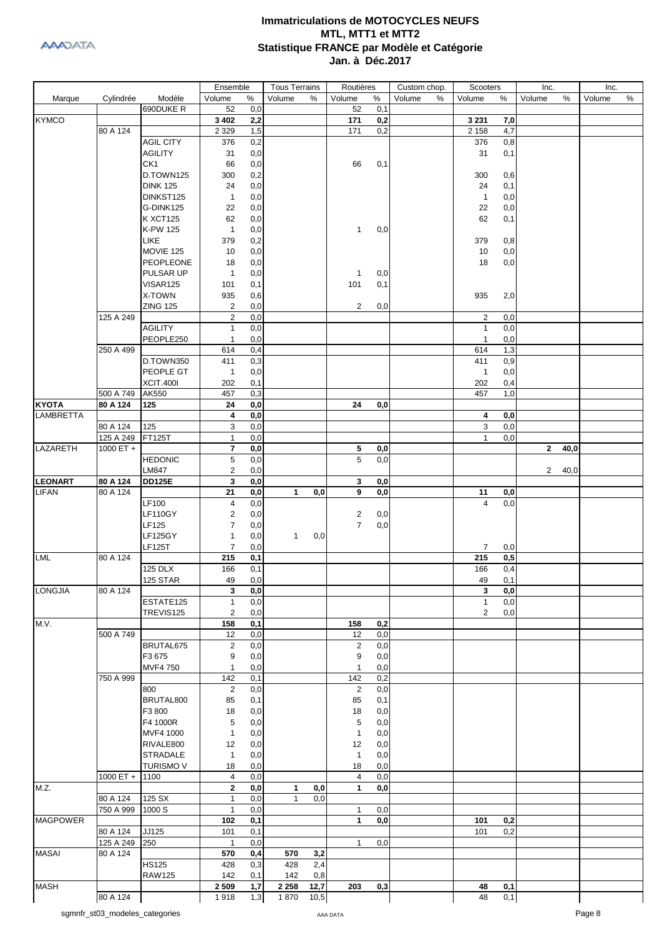

|                  |                       |                           | Ensemble                |            | <b>Tous Terrains</b> |      | Routières      |     | Custom chop. | Scooters       |            | Inc.                   | Inc.        |
|------------------|-----------------------|---------------------------|-------------------------|------------|----------------------|------|----------------|-----|--------------|----------------|------------|------------------------|-------------|
| Marque           | Cylindrée             | Modèle                    | Volume                  | $\%$       | Volume               | %    | Volume         | %   | Volume<br>%  | Volume         | %          | Volume<br>%            | %<br>Volume |
|                  |                       | 690DUKE R                 | 52                      | 0,0        |                      |      | 52             | 0,1 |              |                |            |                        |             |
| <b>KYMCO</b>     |                       |                           | 3 4 0 2                 | 2,2        |                      |      | 171            | 0,2 |              | 3 2 3 1        | 7,0        |                        |             |
|                  | 80 A 124              |                           | 2 3 2 9                 | 1,5        |                      |      | 171            | 0,2 |              | 2 1 5 8        | 4,7        |                        |             |
|                  |                       | <b>AGIL CITY</b>          | 376                     | 0,2        |                      |      |                |     |              | 376            | 0,8        |                        |             |
|                  |                       | <b>AGILITY</b>            | 31                      | 0,0        |                      |      |                |     |              | 31             | 0,1        |                        |             |
|                  |                       | CK1                       | 66                      | 0,0        |                      |      | 66             | 0,1 |              |                |            |                        |             |
|                  |                       | D.TOWN125                 | 300                     | 0,2        |                      |      |                |     |              | 300            | 0,6        |                        |             |
|                  |                       | <b>DINK 125</b>           | 24                      | 0,0        |                      |      |                |     |              | 24             | 0,1        |                        |             |
|                  |                       | DINKST125                 | $\mathbf{1}$            | 0,0        |                      |      |                |     |              | $\mathbf{1}$   | 0,0        |                        |             |
|                  |                       | G-DINK125                 | 22                      | 0,0        |                      |      |                |     |              | 22             | 0,0        |                        |             |
|                  |                       |                           |                         |            |                      |      |                |     |              |                |            |                        |             |
|                  |                       | <b>K XCT125</b>           | 62                      | 0,0        |                      |      |                |     |              | 62             | 0,1        |                        |             |
|                  |                       | K-PW 125                  | $\mathbf{1}$            | 0,0        |                      |      | $\mathbf{1}$   | 0,0 |              |                |            |                        |             |
|                  |                       | <b>LIKE</b>               | 379                     | 0,2        |                      |      |                |     |              | 379            | 0,8        |                        |             |
|                  |                       | MOVIE 125                 | 10                      | 0,0        |                      |      |                |     |              | 10             | 0,0        |                        |             |
|                  |                       | <b>PEOPLEONE</b>          | 18                      | 0,0        |                      |      |                |     |              | 18             | 0,0        |                        |             |
|                  |                       | PULSAR UP                 | $\mathbf{1}$            | 0,0        |                      |      | $\mathbf{1}$   | 0,0 |              |                |            |                        |             |
|                  |                       | VISAR125                  | 101                     | 0,1        |                      |      | 101            | 0,1 |              |                |            |                        |             |
|                  |                       | X-TOWN                    | 935                     | 0,6        |                      |      |                |     |              | 935            | 2,0        |                        |             |
|                  |                       | <b>ZING 125</b>           | $\overline{2}$          | 0,0        |                      |      | $\overline{c}$ | 0,0 |              |                |            |                        |             |
|                  | 125 A 249             |                           | $\overline{c}$          | 0,0        |                      |      |                |     |              | $\overline{2}$ | 0,0        |                        |             |
|                  |                       | <b>AGILITY</b>            | $\mathbf{1}$            | 0,0        |                      |      |                |     |              | $\mathbf{1}$   | 0,0        |                        |             |
|                  |                       | PEOPLE250                 | $\mathbf{1}$            | 0,0        |                      |      |                |     |              | $\mathbf{1}$   | 0,0        |                        |             |
|                  | 250 A 499             |                           | 614                     | 0,4        |                      |      |                |     |              | 614            | 1,3        |                        |             |
|                  |                       | D.TOWN350                 | 411                     | 0,3        |                      |      |                |     |              | 411            | 0,9        |                        |             |
|                  |                       | PEOPLE GT                 | $\mathbf{1}$            | 0,0        |                      |      |                |     |              | $\mathbf{1}$   | 0,0        |                        |             |
|                  |                       |                           |                         |            |                      |      |                |     |              |                |            |                        |             |
|                  |                       | <b>XCIT.400I</b><br>AK550 | 202                     | 0,1        |                      |      |                |     |              | 202            | 0,4        |                        |             |
|                  | 500 A 749             |                           | 457                     | 0,3        |                      |      |                |     |              | 457            | 1,0        |                        |             |
| <b>KYOTA</b>     | 80 A 124              | 125                       | 24                      | 0,0        |                      |      | 24             | 0,0 |              |                |            |                        |             |
| <b>LAMBRETTA</b> |                       | 125                       | 4<br>3                  | 0,0<br>0,0 |                      |      |                |     |              | 4<br>3         | 0,0        |                        |             |
|                  | 80 A 124<br>125 A 249 | <b>FT125T</b>             | $\mathbf{1}$            | 0,0        |                      |      |                |     |              | $\mathbf{1}$   | 0,0<br>0,0 |                        |             |
| LAZARETH         | 1000 ET +             |                           | 7                       | 0,0        |                      |      | 5              | 0,0 |              |                |            | $\mathbf{2}$<br>40,0   |             |
|                  |                       | <b>HEDONIC</b>            | $\sqrt{5}$              | 0,0        |                      |      | 5              | 0,0 |              |                |            |                        |             |
|                  |                       | <b>LM847</b>              | $\overline{\mathbf{c}}$ | 0,0        |                      |      |                |     |              |                |            | $\overline{2}$<br>40,0 |             |
| <b>LEONART</b>   | 80 A 124              | <b>DD125E</b>             | 3                       | 0,0        |                      |      | 3              | 0,0 |              |                |            |                        |             |
| <b>LIFAN</b>     | 80 A 124              |                           | 21                      | 0,0        | $\mathbf{1}$         | 0,0  | 9              | 0,0 |              | 11             | 0,0        |                        |             |
|                  |                       | LF100                     | 4                       | 0,0        |                      |      |                |     |              | $\overline{4}$ | 0,0        |                        |             |
|                  |                       | <b>LF110GY</b>            | $\overline{\mathbf{c}}$ | 0,0        |                      |      | 2              | 0,0 |              |                |            |                        |             |
|                  |                       | LF125                     | $\boldsymbol{7}$        |            |                      |      | $\overline{7}$ | 0,0 |              |                |            |                        |             |
|                  |                       |                           |                         | 0,0        |                      |      |                |     |              |                |            |                        |             |
|                  |                       | <b>LF125GY</b>            | $\mathbf{1}$            | 0,0        | $\mathbf{1}$         | 0,0  |                |     |              |                |            |                        |             |
|                  |                       | <b>LF125T</b>             | $\overline{7}$          | 0,0        |                      |      |                |     |              | 7              | 0,0        |                        |             |
| <b>LML</b>       | 80 A 124              |                           | 215                     | 0,1        |                      |      |                |     |              | 215            | 0,5        |                        |             |
|                  |                       | <b>125 DLX</b>            | 166                     | 0,1        |                      |      |                |     |              | 166            | 0,4        |                        |             |
|                  |                       | 125 STAR                  | 49                      | $_{0,0}$   |                      |      |                |     |              | 49             | 0,1        |                        |             |
| <b>LONGJIA</b>   | 80 A 124              |                           | 3                       | 0,0        |                      |      |                |     |              | 3              | 0,0        |                        |             |
|                  |                       | ESTATE125                 | $\mathbf{1}$            | 0,0        |                      |      |                |     |              | $\mathbf{1}$   | 0,0        |                        |             |
|                  |                       | TREVIS125                 | $\overline{\mathbf{c}}$ | 0,0        |                      |      |                |     |              | $\overline{2}$ | 0,0        |                        |             |
| M.V.             |                       |                           | 158                     | 0,1        |                      |      | 158            | 0,2 |              |                |            |                        |             |
|                  | 500 A 749             |                           | 12                      | 0,0        |                      |      | 12             | 0,0 |              |                |            |                        |             |
|                  |                       | BRUTAL675                 | $\overline{2}$          | 0,0        |                      |      | $\overline{2}$ | 0,0 |              |                |            |                        |             |
|                  |                       | F3 675                    | 9                       | 0,0        |                      |      | 9              | 0,0 |              |                |            |                        |             |
|                  |                       | <b>MVF4750</b>            | $\mathbf{1}$            | 0,0        |                      |      | $\mathbf{1}$   | 0,0 |              |                |            |                        |             |
|                  | 750 A 999             |                           | 142                     | 0,1        |                      |      | 142            | 0,2 |              |                |            |                        |             |
|                  |                       | 800                       | 2                       | 0,0        |                      |      | 2              | 0,0 |              |                |            |                        |             |
|                  |                       | BRUTAL800                 | 85                      | 0,1        |                      |      | 85             | 0,1 |              |                |            |                        |             |
|                  |                       | F3 800                    | 18                      | 0,0        |                      |      | 18             | 0,0 |              |                |            |                        |             |
|                  |                       | F4 1000R                  | 5                       | 0,0        |                      |      | 5              | 0,0 |              |                |            |                        |             |
|                  |                       | MVF4 1000                 | $\mathbf{1}$            | 0,0        |                      |      | $\mathbf{1}$   | 0,0 |              |                |            |                        |             |
|                  |                       | RIVALE800                 | 12                      | 0,0        |                      |      | 12             | 0,0 |              |                |            |                        |             |
|                  |                       | <b>STRADALE</b>           | $\mathbf{1}$            | 0,0        |                      |      | $\mathbf{1}$   | 0,0 |              |                |            |                        |             |
|                  |                       | <b>TURISMO V</b>          | 18                      | 0,0        |                      |      | 18             | 0,0 |              |                |            |                        |             |
|                  | 1000 ET +             | 1100                      | $\overline{4}$          | 0,0        |                      |      | 4              | 0,0 |              |                |            |                        |             |
| M.Z.             |                       |                           | $\mathbf{2}$            | 0,0        | $\mathbf 1$          | 0,0  | 1              | 0,0 |              |                |            |                        |             |
|                  | 80 A 124              | 125 SX                    | $\mathbf{1}$            | 0,0        | $\mathbf{1}$         | 0,0  |                |     |              |                |            |                        |             |
|                  | 750 A 999             | 1000 S                    | $\mathbf{1}$            | 0,0        |                      |      | $\mathbf{1}$   | 0,0 |              |                |            |                        |             |
| <b>MAGPOWER</b>  |                       |                           | 102                     | 0,1        |                      |      | $\mathbf{1}$   | 0,0 |              | 101            | 0,2        |                        |             |
|                  | 80 A 124              | JJ125                     | 101                     | 0,1        |                      |      |                |     |              | 101            | 0,2        |                        |             |
|                  | 125 A 249             | 250                       | $\mathbf{1}$            | 0,0        |                      |      | 1              | 0,0 |              |                |            |                        |             |
| <b>MASAI</b>     | 80 A 124              |                           | 570                     | 0,4        | 570                  | 3,2  |                |     |              |                |            |                        |             |
|                  |                       | <b>HS125</b>              | 428                     | 0,3        | 428                  | 2,4  |                |     |              |                |            |                        |             |
|                  |                       | <b>RAW125</b>             | 142                     | 0,1        | 142                  | 0,8  |                |     |              |                |            |                        |             |
| <b>MASH</b>      |                       |                           | 2 5 0 9                 | 1,7        | 2 2 5 8              | 12,7 | 203            | 0,3 |              | 48             | 0,1        |                        |             |
|                  | 80 A 124              |                           | 1918                    | 1,3        | 1870                 | 10,5 |                |     |              | 48             | 0,1        |                        |             |
|                  |                       |                           |                         |            |                      |      |                |     |              |                |            |                        |             |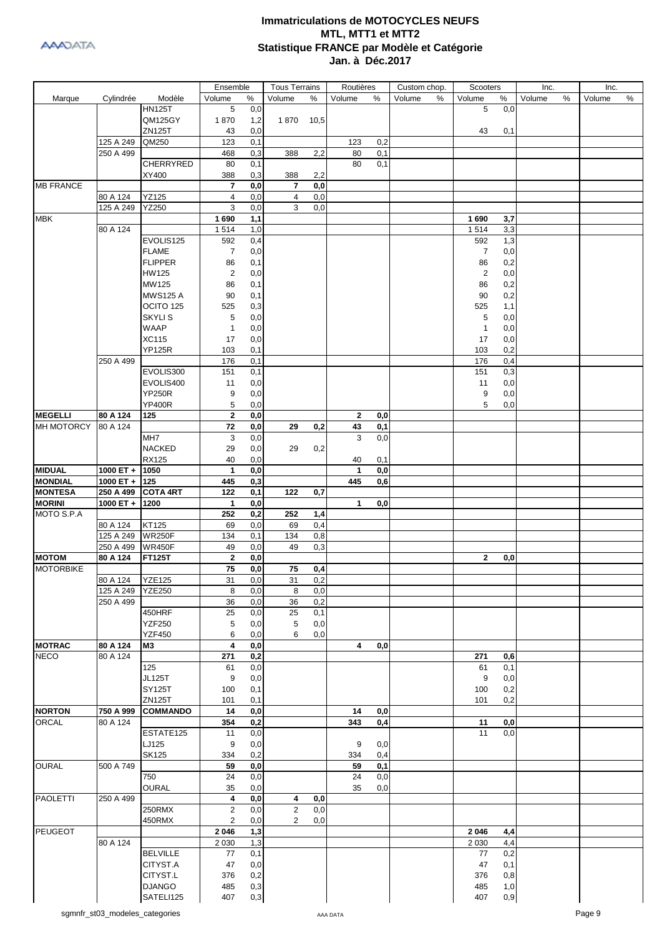

|                  |             |                 | Ensemble                |                         | <b>Tous Terrains</b> |      | Routières    |     | Custom chop. | Scooters       |     | Inc.   |   | Inc.   |      |
|------------------|-------------|-----------------|-------------------------|-------------------------|----------------------|------|--------------|-----|--------------|----------------|-----|--------|---|--------|------|
| Marque           | Cylindrée   | Modèle          | Volume                  | $\%$                    | Volume               | %    | Volume       | %   | Volume<br>%  | Volume         | %   | Volume | % | Volume | $\%$ |
|                  |             | <b>HN125T</b>   | 5                       | 0,0                     |                      |      |              |     |              | 5              | 0,0 |        |   |        |      |
|                  |             | <b>QM125GY</b>  | 1870                    | 1,2                     | 1870                 | 10,5 |              |     |              |                |     |        |   |        |      |
|                  |             | ZN125T          | 43                      | 0,0                     |                      |      |              |     |              | 43             | 0,1 |        |   |        |      |
|                  | 125 A 249   | QM250           | 123                     | 0,1                     |                      |      | 123          | 0,2 |              |                |     |        |   |        |      |
|                  | 250 A 499   |                 | 468                     | 0,3                     | 388                  | 2,2  | 80           | 0,1 |              |                |     |        |   |        |      |
|                  |             | CHERRYRED       | 80                      | 0,1                     |                      |      | 80           | 0,1 |              |                |     |        |   |        |      |
|                  |             | XY400           | 388                     | 0,3                     | 388                  | 2,2  |              |     |              |                |     |        |   |        |      |
| <b>MB FRANCE</b> |             |                 | 7                       | 0,0                     | 7                    | 0,0  |              |     |              |                |     |        |   |        |      |
|                  | 80 A 124    | <b>YZ125</b>    | 4                       | 0,0                     | 4                    | 0,0  |              |     |              |                |     |        |   |        |      |
|                  | 125 A 249   | YZ250           | 3                       | 0,0                     | 3                    | 0,0  |              |     |              |                |     |        |   |        |      |
| <b>MBK</b>       |             |                 | 1690                    | 1,1                     |                      |      |              |     |              | 1690           | 3,7 |        |   |        |      |
|                  |             |                 |                         |                         |                      |      |              |     |              |                |     |        |   |        |      |
|                  | 80 A 124    |                 | 1514                    | 1,0                     |                      |      |              |     |              | 1514           | 3,3 |        |   |        |      |
|                  |             | EVOLIS125       | 592                     | 0,4                     |                      |      |              |     |              | 592            | 1,3 |        |   |        |      |
|                  |             | <b>FLAME</b>    | $\overline{7}$          | 0,0                     |                      |      |              |     |              | $\overline{7}$ | 0,0 |        |   |        |      |
|                  |             | <b>FLIPPER</b>  | 86                      | 0,1                     |                      |      |              |     |              | 86             | 0,2 |        |   |        |      |
|                  |             | <b>HW125</b>    | $\overline{2}$          | 0,0                     |                      |      |              |     |              | $\overline{2}$ | 0,0 |        |   |        |      |
|                  |             | MW125           | 86                      | 0,1                     |                      |      |              |     |              | 86             | 0,2 |        |   |        |      |
|                  |             | <b>MWS125 A</b> | 90                      | 0,1                     |                      |      |              |     |              | 90             | 0,2 |        |   |        |      |
|                  |             | OCITO 125       | 525                     | 0,3                     |                      |      |              |     |              | 525            | 1,1 |        |   |        |      |
|                  |             | <b>SKYLIS</b>   | 5                       | 0,0                     |                      |      |              |     |              | 5              | 0,0 |        |   |        |      |
|                  |             | <b>WAAP</b>     | 1                       | 0,0                     |                      |      |              |     |              | $\mathbf{1}$   | 0,0 |        |   |        |      |
|                  |             | <b>XC115</b>    | 17                      | 0,0                     |                      |      |              |     |              | 17             | 0,0 |        |   |        |      |
|                  |             | <b>YP125R</b>   | 103                     | 0,1                     |                      |      |              |     |              | 103            | 0,2 |        |   |        |      |
|                  | 250 A 499   |                 | 176                     | 0,1                     |                      |      |              |     |              | 176            | 0,4 |        |   |        |      |
|                  |             | EVOLIS300       | 151                     | 0,1                     |                      |      |              |     |              | 151            | 0,3 |        |   |        |      |
|                  |             |                 |                         |                         |                      |      |              |     |              |                |     |        |   |        |      |
|                  |             | EVOLIS400       | 11                      | 0,0                     |                      |      |              |     |              | 11             | 0,0 |        |   |        |      |
|                  |             | <b>YP250R</b>   | 9                       | 0,0                     |                      |      |              |     |              | 9              | 0,0 |        |   |        |      |
|                  |             | <b>YP400R</b>   | 5                       | 0,0                     |                      |      |              |     |              | 5              | 0,0 |        |   |        |      |
| <b>MEGELLI</b>   | 80 A 124    | 125             | $\mathbf{2}$            | 0,0                     |                      |      | 2            | 0,0 |              |                |     |        |   |        |      |
| MH MOTORCY       | 80 A 124    |                 | 72                      | 0,0                     | 29                   | 0,2  | 43           | 0,1 |              |                |     |        |   |        |      |
|                  |             | MH7             | 3                       | 0,0                     |                      |      | 3            | 0,0 |              |                |     |        |   |        |      |
|                  |             | <b>NACKED</b>   | 29                      | 0,0                     | 29                   | 0,2  |              |     |              |                |     |        |   |        |      |
|                  |             | <b>RX125</b>    | 40                      | 0,0                     |                      |      | 40           | 0,1 |              |                |     |        |   |        |      |
| <b>MIDUAL</b>    | $1000 ET +$ | 1050            | $\mathbf{1}$            | 0,0                     |                      |      | $\mathbf{1}$ | 0,0 |              |                |     |        |   |        |      |
| <b>MONDIAL</b>   | 1000 ET $+$ | 125             | 445                     | 0,3                     |                      |      | 445          | 0,6 |              |                |     |        |   |        |      |
| <b>MONTESA</b>   | 250 A 499   | <b>COTA 4RT</b> | 122                     | 0,1                     | 122                  | 0,7  |              |     |              |                |     |        |   |        |      |
| <b>MORINI</b>    | 1000 ET +   | 1200            | $\mathbf{1}$            | 0,0                     |                      |      | 1            | 0,0 |              |                |     |        |   |        |      |
| MOTO S.P.A       |             |                 | 252                     | 0,2                     | 252                  | 1,4  |              |     |              |                |     |        |   |        |      |
|                  |             | KT125           |                         | 0,0                     |                      |      |              |     |              |                |     |        |   |        |      |
|                  | 80 A 124    |                 | 69                      |                         | 69                   | 0,4  |              |     |              |                |     |        |   |        |      |
|                  | 125 A 249   | <b>WR250F</b>   | 134                     | 0,1                     | 134                  | 0,8  |              |     |              |                |     |        |   |        |      |
|                  | 250 A 499   | <b>WR450F</b>   | 49                      | 0,0                     | 49                   | 0,3  |              |     |              |                |     |        |   |        |      |
| <b>MOTOM</b>     | 80 A 124    | <b>FT125T</b>   | $\mathbf{2}$            | 0,0                     |                      |      |              |     |              | $\mathbf{2}$   | 0,0 |        |   |        |      |
| <b>MOTORBIKE</b> |             |                 | 75                      | 0,0                     | 75                   | 0,4  |              |     |              |                |     |        |   |        |      |
|                  | 80 A 124    | <b>YZE125</b>   | 31                      | 0,0                     | 31                   | 0,2  |              |     |              |                |     |        |   |        |      |
|                  | 125 A 249   | <b>YZE250</b>   | 8                       | 0,0                     | 8                    | 0,0  |              |     |              |                |     |        |   |        |      |
|                  | 250 A 499   |                 | 36                      | 0,0                     | 36                   | 0,2  |              |     |              |                |     |        |   |        |      |
|                  |             | 450HRF          | 25                      | 0,0                     | 25                   | 0,1  |              |     |              |                |     |        |   |        |      |
|                  |             | <b>YZF250</b>   | 5                       | 0,0                     | 5                    | 0,0  |              |     |              |                |     |        |   |        |      |
|                  |             | <b>YZF450</b>   | 6                       | 0,0                     | 6                    | 0,0  |              |     |              |                |     |        |   |        |      |
| <b>MOTRAC</b>    | 80 A 124    | MЗ              | 4                       | 0,0                     |                      |      | 4            | 0,0 |              |                |     |        |   |        |      |
| <b>NECO</b>      | 80 A 124    |                 | 271                     | 0,2                     |                      |      |              |     |              | 271            | 0,6 |        |   |        |      |
|                  |             | 125             | 61                      | 0,0                     |                      |      |              |     |              | 61             | 0,1 |        |   |        |      |
|                  |             | <b>JL125T</b>   | 9                       | 0,0                     |                      |      |              |     |              | 9              | 0,0 |        |   |        |      |
|                  |             | SY125T          | 100                     | 0,1                     |                      |      |              |     |              | 100            | 0,2 |        |   |        |      |
|                  |             | ZN125T          | 101                     | 0,1                     |                      |      |              |     |              | 101            | 0,2 |        |   |        |      |
| <b>NORTON</b>    | 750 A 999   | <b>COMMANDO</b> | 14                      | 0,0                     |                      |      | 14           | 0,0 |              |                |     |        |   |        |      |
| ORCAL            | 80 A 124    |                 | 354                     |                         |                      |      | 343          |     |              |                |     |        |   |        |      |
|                  |             |                 |                         | 0,2                     |                      |      |              | 0,4 |              | 11             | 0,0 |        |   |        |      |
|                  |             | ESTATE125       | 11                      | 0,0                     |                      |      |              |     |              | 11             | 0,0 |        |   |        |      |
|                  |             | LJ125           | 9                       | 0,0                     |                      |      | 9            | 0,0 |              |                |     |        |   |        |      |
|                  |             | <b>SK125</b>    | 334                     | 0,2                     |                      |      | 334          | 0,4 |              |                |     |        |   |        |      |
| <b>OURAL</b>     | 500 A 749   |                 | 59                      | 0,0                     |                      |      | 59           | 0,1 |              |                |     |        |   |        |      |
|                  |             | 750             | 24                      | 0,0                     |                      |      | 24           | 0,0 |              |                |     |        |   |        |      |
|                  |             | <b>OURAL</b>    | 35                      | 0,0                     |                      |      | 35           | 0,0 |              |                |     |        |   |        |      |
| <b>PAOLETTI</b>  | 250 A 499   |                 | 4                       | $\mathbf{0},\mathbf{0}$ | 4                    | 0,0  |              |     |              |                |     |        |   |        |      |
|                  |             | 250RMX          | $\overline{\mathbf{c}}$ | 0,0                     | $\overline{2}$       | 0,0  |              |     |              |                |     |        |   |        |      |
|                  |             | 450RMX          | $\overline{2}$          | 0,0                     | $\overline{2}$       | 0,0  |              |     |              |                |     |        |   |        |      |
| PEUGEOT          |             |                 | 2 0 4 6                 | 1,3                     |                      |      |              |     |              | 2 0 4 6        | 4,4 |        |   |        |      |
|                  | 80 A 124    |                 | 2 0 3 0                 | 1,3                     |                      |      |              |     |              | 2 0 3 0        | 4,4 |        |   |        |      |
|                  |             | <b>BELVILLE</b> | 77                      | 0,1                     |                      |      |              |     |              | 77             | 0,2 |        |   |        |      |
|                  |             | CITYST.A        | 47                      | 0,0                     |                      |      |              |     |              | 47             | 0,1 |        |   |        |      |
|                  |             | CITYST.L        |                         |                         |                      |      |              |     |              |                |     |        |   |        |      |
|                  |             |                 | 376                     | 0,2                     |                      |      |              |     |              | 376            | 0,8 |        |   |        |      |
|                  |             | <b>DJANGO</b>   | 485                     | 0,3                     |                      |      |              |     |              | 485            | 1,0 |        |   |        |      |
|                  |             | SATELI125       | 407                     | 0,3                     |                      |      |              |     |              | 407            | 0,9 |        |   |        |      |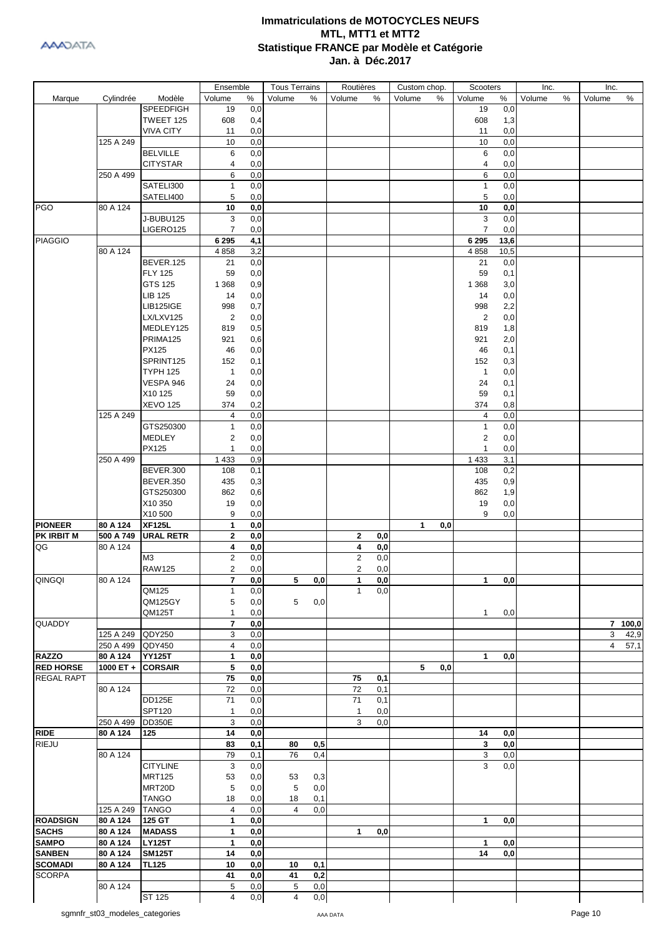

|                   |           |                  | Ensemble                |                  | <b>Tous Terrains</b> |                  | Routières    |     | Custom chop.        | Scooters       |      | Inc.   |   | Inc.   |         |
|-------------------|-----------|------------------|-------------------------|------------------|----------------------|------------------|--------------|-----|---------------------|----------------|------|--------|---|--------|---------|
| Marque            | Cylindrée | Modèle           | Volume                  | $\%$             | Volume               | %                | Volume       | %   | Volume<br>$\%$      | Volume         | %    | Volume | % | Volume | $\%$    |
|                   |           | <b>SPEEDFIGH</b> | 19                      | 0,0              |                      |                  |              |     |                     | 19             | 0,0  |        |   |        |         |
|                   |           | TWEET 125        | 608                     | 0,4              |                      |                  |              |     |                     | 608            | 1,3  |        |   |        |         |
|                   |           | <b>VIVA CITY</b> | 11                      | 0,0              |                      |                  |              |     |                     | 11             | 0,0  |        |   |        |         |
|                   | 125 A 249 |                  | 10                      | 0,0              |                      |                  |              |     |                     | 10             | 0,0  |        |   |        |         |
|                   |           | <b>BELVILLE</b>  | 6                       | 0,0              |                      |                  |              |     |                     | 6              | 0,0  |        |   |        |         |
|                   |           | <b>CITYSTAR</b>  | 4                       | 0,0              |                      |                  |              |     |                     | 4              | 0,0  |        |   |        |         |
|                   | 250 A 499 |                  | 6                       |                  |                      |                  |              |     |                     | 6              | 0,0  |        |   |        |         |
|                   |           |                  |                         | 0,0              |                      |                  |              |     |                     |                |      |        |   |        |         |
|                   |           | SATELI300        | $\mathbf{1}$            | 0,0              |                      |                  |              |     |                     | $\mathbf{1}$   | 0,0  |        |   |        |         |
|                   |           | SATELI400        | 5                       | 0,0              |                      |                  |              |     |                     | 5              | 0,0  |        |   |        |         |
| <b>PGO</b>        | 80 A 124  |                  | 10                      | 0,0              |                      |                  |              |     |                     | 10             | 0,0  |        |   |        |         |
|                   |           | J-BUBU125        | 3                       | 0,0              |                      |                  |              |     |                     | 3              | 0,0  |        |   |        |         |
|                   |           | LIGERO125        | $\overline{7}$          | 0,0              |                      |                  |              |     |                     | $\overline{7}$ | 0,0  |        |   |        |         |
| <b>PIAGGIO</b>    |           |                  | 6 2 9 5                 | 4,1              |                      |                  |              |     |                     | 6 2 9 5        | 13,6 |        |   |        |         |
|                   | 80 A 124  |                  | 4858                    | 3,2              |                      |                  |              |     |                     | 4 8 5 8        | 10,5 |        |   |        |         |
|                   |           | BEVER.125        | 21                      | 0,0              |                      |                  |              |     |                     | 21             | 0,0  |        |   |        |         |
|                   |           | <b>FLY 125</b>   | 59                      | 0,0              |                      |                  |              |     |                     | 59             | 0,1  |        |   |        |         |
|                   |           | GTS 125          | 1 3 6 8                 | 0,9              |                      |                  |              |     |                     | 1 3 6 8        | 3,0  |        |   |        |         |
|                   |           |                  |                         |                  |                      |                  |              |     |                     |                |      |        |   |        |         |
|                   |           | <b>LIB 125</b>   | 14                      | 0,0              |                      |                  |              |     |                     | 14             | 0,0  |        |   |        |         |
|                   |           | <b>LIB125IGE</b> | 998                     | 0,7              |                      |                  |              |     |                     | 998            | 2,2  |        |   |        |         |
|                   |           | LX/LXV125        | $\overline{2}$          | 0,0              |                      |                  |              |     |                     | $\overline{2}$ | 0,0  |        |   |        |         |
|                   |           | MEDLEY125        | 819                     | 0,5              |                      |                  |              |     |                     | 819            | 1,8  |        |   |        |         |
|                   |           | PRIMA125         | 921                     | 0,6              |                      |                  |              |     |                     | 921            | 2,0  |        |   |        |         |
|                   |           | <b>PX125</b>     | 46                      | 0,0              |                      |                  |              |     |                     | 46             | 0,1  |        |   |        |         |
|                   |           | SPRINT125        | 152                     | 0,1              |                      |                  |              |     |                     | 152            | 0,3  |        |   |        |         |
|                   |           | <b>TYPH 125</b>  | $\mathbf{1}$            | 0,0              |                      |                  |              |     |                     | $\mathbf{1}$   | 0,0  |        |   |        |         |
|                   |           | VESPA 946        | 24                      | 0,0              |                      |                  |              |     |                     | 24             | 0,1  |        |   |        |         |
|                   |           |                  |                         |                  |                      |                  |              |     |                     |                |      |        |   |        |         |
|                   |           | X10 125          | 59                      | 0,0              |                      |                  |              |     |                     | 59             | 0,1  |        |   |        |         |
|                   |           | <b>XEVO 125</b>  | 374                     | 0,2              |                      |                  |              |     |                     | 374            | 0,8  |        |   |        |         |
|                   | 125A249   |                  | 4                       | 0,0              |                      |                  |              |     |                     | 4              | 0,0  |        |   |        |         |
|                   |           | GTS250300        | 1                       | 0,0              |                      |                  |              |     |                     | $\mathbf{1}$   | 0,0  |        |   |        |         |
|                   |           | MEDLEY           | 2                       | 0,0              |                      |                  |              |     |                     | $\overline{c}$ | 0,0  |        |   |        |         |
|                   |           | PX125            | 1                       | 0,0              |                      |                  |              |     |                     | $\mathbf{1}$   | 0,0  |        |   |        |         |
|                   | 250 A 499 |                  | 1 4 3 3                 | 0,9              |                      |                  |              |     |                     | 1 4 3 3        | 3,1  |        |   |        |         |
|                   |           | BEVER.300        | 108                     | 0,1              |                      |                  |              |     |                     | 108            | 0,2  |        |   |        |         |
|                   |           | <b>BEVER.350</b> | 435                     | 0,3              |                      |                  |              |     |                     | 435            | 0,9  |        |   |        |         |
|                   |           | GTS250300        | 862                     |                  |                      |                  |              |     |                     | 862            | 1,9  |        |   |        |         |
|                   |           |                  |                         | 0,6              |                      |                  |              |     |                     |                |      |        |   |        |         |
|                   |           | X10 350          | 19                      | 0,0              |                      |                  |              |     |                     | 19             | 0,0  |        |   |        |         |
|                   |           | X10500           | 9                       | 0,0              |                      |                  |              |     |                     | 9              | 0,0  |        |   |        |         |
| <b>PIONEER</b>    | 80 A 124  | <b>XF125L</b>    | 1                       | 0,0              |                      |                  |              |     | $\mathbf{1}$<br>0,0 |                |      |        |   |        |         |
| <b>PK IRBIT M</b> | 500 A 749 | <b>URAL RETR</b> | 2                       | 0,0              |                      |                  | 2            | 0,0 |                     |                |      |        |   |        |         |
| QG                | 80 A 124  |                  | 4                       | 0,0              |                      |                  | 4            | 0,0 |                     |                |      |        |   |        |         |
|                   |           | M3               | $\overline{2}$          | 0,0              |                      |                  | 2            | 0,0 |                     |                |      |        |   |        |         |
|                   |           | <b>RAW125</b>    | 2                       | 0,0              |                      |                  | 2            | 0,0 |                     |                |      |        |   |        |         |
| QINGQI            | 80 A 124  |                  | 7                       | $\overline{0,0}$ | 5                    | $\mathbf{0{,}0}$ |              | 0,0 |                     | 1              | 0,0  |        |   |        |         |
|                   |           | QM125            | $\mathbf{1}$            | 0,0              |                      |                  | $\mathbf{1}$ | 0,0 |                     |                |      |        |   |        |         |
|                   |           | QM125GY          |                         |                  | 5                    |                  |              |     |                     |                |      |        |   |        |         |
|                   |           |                  | 5                       | 0,0              |                      | 0,0              |              |     |                     |                |      |        |   |        |         |
|                   |           | QM125T           | 1                       | 0,0              |                      |                  |              |     |                     | $\mathbf{1}$   | 0,0  |        |   |        |         |
| <b>QUADDY</b>     |           |                  | $\overline{\mathbf{r}}$ | 0,0              |                      |                  |              |     |                     |                |      |        |   |        | 7 100,0 |
|                   | 125 A 249 | QDY250           | 3                       | 0,0              |                      |                  |              |     |                     |                |      |        |   | 3      | 42,9    |
|                   | 250 A 499 | QDY450           | 4                       | 0,0              |                      |                  |              |     |                     |                |      |        |   | 4      | 57,1    |
| <b>RAZZO</b>      | 80 A 124  | <b>YY125T</b>    | 1                       | 0,0              |                      |                  |              |     |                     | 1              | 0,0  |        |   |        |         |
| <b>RED HORSE</b>  | 1000 ET + | <b>CORSAIR</b>   | 5                       | 0,0              |                      |                  |              |     | 5<br>0,0            |                |      |        |   |        |         |
| <b>REGAL RAPT</b> |           |                  | 75                      | 0,0              |                      |                  | 75           | 0,1 |                     |                |      |        |   |        |         |
|                   | 80 A 124  |                  | 72                      | 0,0              |                      |                  | 72           | 0,1 |                     |                |      |        |   |        |         |
|                   |           | <b>DD125E</b>    | 71                      | 0,0              |                      |                  | 71           | 0,1 |                     |                |      |        |   |        |         |
|                   |           | SPT120           | $\mathbf{1}$            | 0,0              |                      |                  | 1            | 0,0 |                     |                |      |        |   |        |         |
|                   | 250 A 499 | <b>DD350E</b>    | 3                       | 0,0              |                      |                  | 3            | 0,0 |                     |                |      |        |   |        |         |
| <b>RIDE</b>       |           |                  |                         |                  |                      |                  |              |     |                     |                |      |        |   |        |         |
|                   | 80 A 124  | 125              | 14                      | 0,0              |                      |                  |              |     |                     | 14             | 0,0  |        |   |        |         |
| RIEJU             |           |                  | 83                      | 0,1              | 80                   | 0,5              |              |     |                     | 3              | 0,0  |        |   |        |         |
|                   | 80 A 124  |                  | 79                      | 0,1              | 76                   | 0,4              |              |     |                     | 3              | 0,0  |        |   |        |         |
|                   |           | <b>CITYLINE</b>  | 3                       | 0,0              |                      |                  |              |     |                     | 3              | 0,0  |        |   |        |         |
|                   |           | <b>MRT125</b>    | 53                      | 0,0              | 53                   | 0,3              |              |     |                     |                |      |        |   |        |         |
|                   |           | MRT20D           | 5                       | 0,0              | 5                    | 0,0              |              |     |                     |                |      |        |   |        |         |
|                   |           | <b>TANGO</b>     | 18                      | 0,0              | 18                   | 0,1              |              |     |                     |                |      |        |   |        |         |
|                   | 125 A 249 | <b>TANGO</b>     | 4                       | 0,0              | 4                    | 0,0              |              |     |                     |                |      |        |   |        |         |
| <b>ROADSIGN</b>   | 80 A 124  | 125 GT           | 1                       | 0,0              |                      |                  |              |     |                     | $\mathbf{1}$   | 0,0  |        |   |        |         |
| <b>SACHS</b>      | 80 A 124  | <b>MADASS</b>    | 1                       | 0,0              |                      |                  | 1            | 0,0 |                     |                |      |        |   |        |         |
| <b>SAMPO</b>      | 80 A 124  | <b>LY125T</b>    | $\mathbf{1}$            |                  |                      |                  |              |     |                     |                |      |        |   |        |         |
|                   |           |                  |                         | 0,0              |                      |                  |              |     |                     | 1              | 0,0  |        |   |        |         |
| <b>SANBEN</b>     | 80 A 124  | <b>SM125T</b>    | 14                      | 0,0              |                      |                  |              |     |                     | 14             | 0,0  |        |   |        |         |
| <b>SCOMADI</b>    | 80 A 124  | <b>TL125</b>     | 10                      | 0,0              | 10                   | 0,1              |              |     |                     |                |      |        |   |        |         |
| <b>SCORPA</b>     |           |                  | 41                      | 0,0              | 41                   | 0,2              |              |     |                     |                |      |        |   |        |         |
|                   | 80 A 124  |                  | 5                       | 0,0              | 5                    | 0,0              |              |     |                     |                |      |        |   |        |         |
|                   |           | <b>ST 125</b>    | 4                       | 0,0              | 4                    | 0,0              |              |     |                     |                |      |        |   |        |         |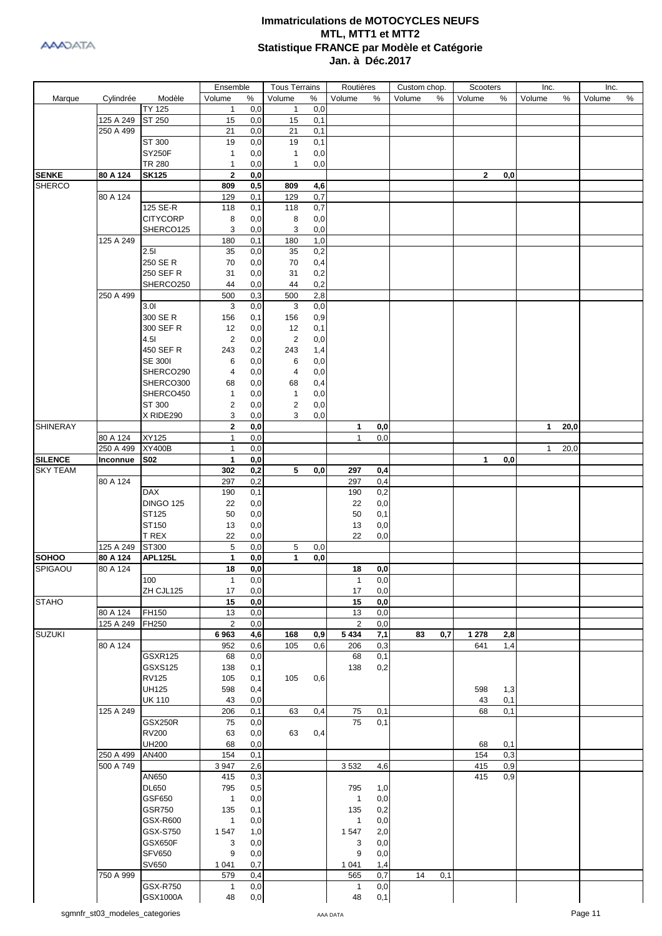

|                 |           |                                  | Ensemble       |            | <b>Tous Terrains</b> |            | Routières    |                  | Custom chop. |     | Scooters     |     | Inc.         |      | Inc.   |   |
|-----------------|-----------|----------------------------------|----------------|------------|----------------------|------------|--------------|------------------|--------------|-----|--------------|-----|--------------|------|--------|---|
| Marque          | Cylindrée | Modèle                           | Volume         | %          | Volume               | %          | Volume       | %                | Volume       | %   | Volume       | %   | Volume       | %    | Volume | % |
|                 |           | <b>TY 125</b>                    | $\mathbf{1}$   | 0,0        | $\mathbf{1}$         | 0,0        |              |                  |              |     |              |     |              |      |        |   |
|                 | 125 A 249 | ST 250                           | 15             | 0,0        | 15                   | 0,1        |              |                  |              |     |              |     |              |      |        |   |
|                 | 250 A 499 |                                  | 21             | 0,0        | 21                   | 0,1        |              |                  |              |     |              |     |              |      |        |   |
|                 |           | ST 300                           | 19             | 0,0        | 19                   | 0,1        |              |                  |              |     |              |     |              |      |        |   |
|                 |           | <b>SY250F</b>                    | $\mathbf{1}$   | 0,0        | $\mathbf{1}$         | 0,0        |              |                  |              |     |              |     |              |      |        |   |
|                 |           | TR 280                           | 1              | 0,0        | $\mathbf{1}$         | 0,0        |              |                  |              |     |              |     |              |      |        |   |
| <b>SENKE</b>    | 80 A 124  | <b>SK125</b>                     | $\mathbf 2$    | 0,0        |                      |            |              |                  |              |     | $\mathbf{2}$ | 0,0 |              |      |        |   |
| <b>SHERCO</b>   |           |                                  | 809            | 0,5        | 809                  | 4,6        |              |                  |              |     |              |     |              |      |        |   |
|                 | 80 A 124  |                                  | 129            | 0,1        | 129                  | 0,7        |              |                  |              |     |              |     |              |      |        |   |
|                 |           | 125 SE-R                         | 118            | 0,1        | 118                  | 0,7        |              |                  |              |     |              |     |              |      |        |   |
|                 |           | <b>CITYCORP</b><br>SHERCO125     | 8              | 0,0        | 8                    | 0,0        |              |                  |              |     |              |     |              |      |        |   |
|                 | 125 A 249 |                                  | 3<br>180       | 0,0        | 3<br>180             | 0,0<br>1,0 |              |                  |              |     |              |     |              |      |        |   |
|                 |           | 2.51                             | 35             | 0,1<br>0,0 | 35                   | 0,2        |              |                  |              |     |              |     |              |      |        |   |
|                 |           | 250 SE R                         | 70             | 0,0        | 70                   |            |              |                  |              |     |              |     |              |      |        |   |
|                 |           | 250 SEF R                        | 31             | 0,0        | 31                   | 0,4<br>0,2 |              |                  |              |     |              |     |              |      |        |   |
|                 |           | SHERCO250                        | 44             | 0,0        | 44                   | 0,2        |              |                  |              |     |              |     |              |      |        |   |
|                 | 250 A 499 |                                  | 500            | 0,3        | 500                  | 2,8        |              |                  |              |     |              |     |              |      |        |   |
|                 |           | 3.01                             | 3              | 0,0        | 3                    | 0,0        |              |                  |              |     |              |     |              |      |        |   |
|                 |           | 300 SE R                         | 156            | 0,1        | 156                  | 0,9        |              |                  |              |     |              |     |              |      |        |   |
|                 |           | 300 SEF R                        | 12             | 0,0        | 12                   | 0,1        |              |                  |              |     |              |     |              |      |        |   |
|                 |           | 4.51                             | $\overline{2}$ | 0,0        | 2                    | 0,0        |              |                  |              |     |              |     |              |      |        |   |
|                 |           | 450 SEF R                        | 243            | 0,2        | 243                  | 1,4        |              |                  |              |     |              |     |              |      |        |   |
|                 |           | <b>SE 3001</b>                   | 6              | 0,0        | 6                    | 0,0        |              |                  |              |     |              |     |              |      |        |   |
|                 |           | SHERCO290                        | 4              | 0,0        | 4                    | 0,0        |              |                  |              |     |              |     |              |      |        |   |
|                 |           | SHERCO300                        | 68             | 0,0        | 68                   | 0,4        |              |                  |              |     |              |     |              |      |        |   |
|                 |           | SHERCO450                        | 1              | 0,0        | $\mathbf{1}$         | 0,0        |              |                  |              |     |              |     |              |      |        |   |
|                 |           | ST 300                           | 2              | 0,0        | 2                    | 0,0        |              |                  |              |     |              |     |              |      |        |   |
|                 |           | X RIDE290                        | 3              | 0,0        | 3                    | 0,0        |              |                  |              |     |              |     |              |      |        |   |
| <b>SHINERAY</b> |           |                                  | $\mathbf 2$    | 0,0        |                      |            | 1            | 0,0              |              |     |              |     | $\mathbf{1}$ | 20,0 |        |   |
|                 | 80 A 124  | XY125                            | $\mathbf{1}$   | 0,0        |                      |            | $\mathbf{1}$ | 0,0              |              |     |              |     |              |      |        |   |
|                 | 250 A 499 | <b>XY400B</b>                    | 1              | 0,0        |                      |            |              |                  |              |     |              |     | $\mathbf{1}$ | 20,0 |        |   |
| <b>SILENCE</b>  | Inconnue  | S02                              | 1              | 0,0        |                      |            |              |                  |              |     | 1            | 0,0 |              |      |        |   |
| <b>SKY TEAM</b> |           |                                  | 302            | 0,2        | 5                    | 0,0        | 297          | 0,4              |              |     |              |     |              |      |        |   |
|                 | 80 A 124  |                                  | 297            | 0,2        |                      |            | 297          | 0,4              |              |     |              |     |              |      |        |   |
|                 |           | DAX                              | 190            | 0,1        |                      |            | 190          | 0,2              |              |     |              |     |              |      |        |   |
|                 |           | <b>DINGO 125</b>                 | 22             | 0,0        |                      |            | 22           | 0,0              |              |     |              |     |              |      |        |   |
|                 |           | ST125                            | 50             | 0,0        |                      |            | 50           | 0,1              |              |     |              |     |              |      |        |   |
|                 |           | ST150                            | 13             | 0,0        |                      |            | 13           | 0,0              |              |     |              |     |              |      |        |   |
|                 |           | T REX                            | 22             | 0,0        |                      |            | 22           | 0,0              |              |     |              |     |              |      |        |   |
|                 | 125 A 249 | ST300                            | 5              | 0,0        | 5                    | 0,0        |              |                  |              |     |              |     |              |      |        |   |
| <b>SOHOO</b>    | 80 A 124  | APL125L                          | 1              | 0,0        | 1                    | 0,0        |              |                  |              |     |              |     |              |      |        |   |
| SPIGAOU         | 80 A 124  |                                  | 18             | 0,0        |                      |            | 18           | 0,0              |              |     |              |     |              |      |        |   |
|                 |           | 100                              | 1              | 0,0        |                      |            | 1            | 0,0              |              |     |              |     |              |      |        |   |
|                 |           | ZH CJL125                        | 17             | 0,0        |                      |            | 17           | 0,0              |              |     |              |     |              |      |        |   |
| <b>STAHO</b>    |           |                                  | 15             | 0,0        |                      |            | 15           | $\mathbf{0,0}$   |              |     |              |     |              |      |        |   |
|                 | 80 A 124  | FH150                            | 13             | 0,0        |                      |            | 13           | 0,0              |              |     |              |     |              |      |        |   |
| <b>SUZUKI</b>   | 125 A 249 | FH250                            | $\overline{2}$ | 0,0        |                      |            | $\sqrt{2}$   | $\overline{0,0}$ |              |     |              |     |              |      |        |   |
|                 |           |                                  | 6963           | 4,6        | 168                  | 0,9        | 5 4 3 4      | 7,1              | 83           | 0,7 | 1 2 7 8      | 2,8 |              |      |        |   |
|                 | 80 A 124  |                                  | 952            | 0,6        | 105                  | 0,6        | 206          | 0,3              |              |     | 641          | 1,4 |              |      |        |   |
|                 |           | <b>GSXR125</b><br><b>GSXS125</b> | 68<br>138      | 0,0<br>0,1 |                      |            | 68<br>138    | 0,1<br>0,2       |              |     |              |     |              |      |        |   |
|                 |           | <b>RV125</b>                     | 105            | 0,1        | 105                  | 0,6        |              |                  |              |     |              |     |              |      |        |   |
|                 |           | <b>UH125</b>                     | 598            | 0,4        |                      |            |              |                  |              |     | 598          | 1,3 |              |      |        |   |
|                 |           | <b>UK 110</b>                    | 43             | 0,0        |                      |            |              |                  |              |     | 43           | 0,1 |              |      |        |   |
|                 | 125 A 249 |                                  | 206            | 0,1        | 63                   | 0,4        | ${\bf 75}$   | 0,1              |              |     | 68           | 0,1 |              |      |        |   |
|                 |           | <b>GSX250R</b>                   | 75             | 0,0        |                      |            | 75           | 0,1              |              |     |              |     |              |      |        |   |
|                 |           | <b>RV200</b>                     | 63             | 0,0        | 63                   | 0,4        |              |                  |              |     |              |     |              |      |        |   |
|                 |           | <b>UH200</b>                     | 68             | 0,0        |                      |            |              |                  |              |     | 68           | 0,1 |              |      |        |   |
|                 | 250 A 499 | AN400                            | 154            | 0,1        |                      |            |              |                  |              |     | 154          | 0,3 |              |      |        |   |
|                 | 500 A 749 |                                  | 3 9 4 7        | 2,6        |                      |            | 3532         | 4,6              |              |     | 415          | 0,9 |              |      |        |   |
|                 |           | AN650                            | 415            | 0,3        |                      |            |              |                  |              |     | 415          | 0,9 |              |      |        |   |
|                 |           | <b>DL650</b>                     | 795            | 0,5        |                      |            | 795          | 1,0              |              |     |              |     |              |      |        |   |
|                 |           | GSF650                           | $\mathbf{1}$   | 0,0        |                      |            | $\mathbf{1}$ | $_{\rm 0,0}$     |              |     |              |     |              |      |        |   |
|                 |           | GSR750                           | 135            | 0,1        |                      |            | 135          | 0,2              |              |     |              |     |              |      |        |   |
|                 |           | GSX-R600                         | $\mathbf{1}$   | 0,0        |                      |            | $\mathbf{1}$ | 0,0              |              |     |              |     |              |      |        |   |
|                 |           | GSX-S750                         | 1547           | 1,0        |                      |            | 1547         | 2,0              |              |     |              |     |              |      |        |   |
|                 |           | <b>GSX650F</b>                   | 3              | 0,0        |                      |            | 3            | 0,0              |              |     |              |     |              |      |        |   |
|                 |           | <b>SFV650</b>                    | 9              | 0,0        |                      |            | 9            | 0,0              |              |     |              |     |              |      |        |   |
|                 |           | SV650                            | 1 0 4 1        | 0,7        |                      |            | 1 0 4 1      | 1,4              |              |     |              |     |              |      |        |   |
|                 | 750 A 999 |                                  | 579            | 0,4        |                      |            | 565          | 0,7              | 14           | 0,1 |              |     |              |      |        |   |
|                 |           | GSX-R750                         | 1              | 0,0        |                      |            | $\mathbf{1}$ | 0,0              |              |     |              |     |              |      |        |   |
|                 |           | GSX1000A                         | 48             | $_{0,0}$   |                      |            | 48           | 0,1              |              |     |              |     |              |      |        |   |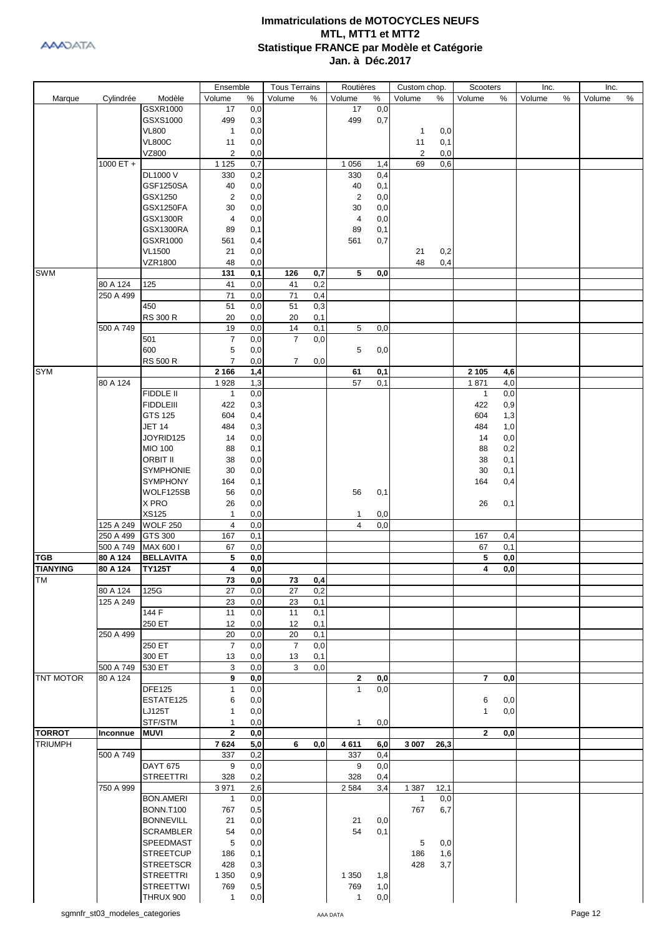

|                  |                       |                    | Ensemble       |            | <b>Tous Terrains</b> |     | Routières      |            | Custom chop. |      | Scooters       |     | Inc.   |   | Inc.   |      |
|------------------|-----------------------|--------------------|----------------|------------|----------------------|-----|----------------|------------|--------------|------|----------------|-----|--------|---|--------|------|
| Marque           | Cylindrée             | Modèle             | Volume         | $\%$       | Volume               | %   | Volume         | $\%$       | Volume       | %    | Volume         | ℅   | Volume | % | Volume | $\%$ |
|                  |                       | GSXR1000           | 17             | 0,0        |                      |     | 17             | 0,0        |              |      |                |     |        |   |        |      |
|                  |                       | GSXS1000           | 499            | 0,3        |                      |     | 499            | 0,7        |              |      |                |     |        |   |        |      |
|                  |                       | <b>VL800</b>       | $\mathbf{1}$   | 0,0        |                      |     |                |            | 1            | 0,0  |                |     |        |   |        |      |
|                  |                       | <b>VL800C</b>      | 11             | 0,0        |                      |     |                |            | 11           | 0,1  |                |     |        |   |        |      |
|                  |                       | VZ800              | $\overline{c}$ | 0,0        |                      |     |                |            | 2            | 0,0  |                |     |        |   |        |      |
|                  | 1000 ET $+$           |                    | 1 1 2 5        | 0,7        |                      |     | 1 0 5 6        | 1,4        | 69           | 0,6  |                |     |        |   |        |      |
|                  |                       | DL1000 V           | 330            | 0,2        |                      |     | 330            | 0,4        |              |      |                |     |        |   |        |      |
|                  |                       | <b>GSF1250SA</b>   | 40             | 0,0        |                      |     | 40             | 0,1        |              |      |                |     |        |   |        |      |
|                  |                       | GSX1250            | 2              | 0,0        |                      |     | $\overline{2}$ | 0,0        |              |      |                |     |        |   |        |      |
|                  |                       | <b>GSX1250FA</b>   | 30             | 0,0        |                      |     | 30             | 0,0        |              |      |                |     |        |   |        |      |
|                  |                       | <b>GSX1300R</b>    | 4              | 0,0        |                      |     | 4              | 0,0        |              |      |                |     |        |   |        |      |
|                  |                       | GSX1300RA          | 89             | 0,1        |                      |     | 89             | 0,1        |              |      |                |     |        |   |        |      |
|                  |                       | GSXR1000           | 561            | 0,4        |                      |     | 561            | 0,7        |              |      |                |     |        |   |        |      |
|                  |                       | <b>VL1500</b>      | 21             | 0,0        |                      |     |                |            | 21           | 0,2  |                |     |        |   |        |      |
|                  |                       | <b>VZR1800</b>     | 48             | 0,0        |                      |     |                |            | 48           | 0,4  |                |     |        |   |        |      |
| <b>SWM</b>       |                       |                    | 131            | 0,1        | 126                  | 0,7 | 5              | 0,0        |              |      |                |     |        |   |        |      |
|                  | 80 A 124              | 125                | 41             | 0,0        | 41                   | 0,2 |                |            |              |      |                |     |        |   |        |      |
|                  | 250 A 499             |                    | 71             | 0,0        | 71                   | 0,4 |                |            |              |      |                |     |        |   |        |      |
|                  |                       | 450                | 51             | 0,0        | 51                   | 0,3 |                |            |              |      |                |     |        |   |        |      |
|                  |                       | <b>RS 300 R</b>    | 20             | 0,0        | 20                   | 0,1 |                |            |              |      |                |     |        |   |        |      |
|                  | 500 A 749             |                    | 19             | 0,0        | 14                   | 0,1 | 5              | 0,0        |              |      |                |     |        |   |        |      |
|                  |                       | 501                | 7              | 0,0        | $\overline{7}$       | 0,0 |                |            |              |      |                |     |        |   |        |      |
|                  |                       | 600                | 5              | 0,0        |                      |     | 5              | 0,0        |              |      |                |     |        |   |        |      |
|                  |                       | <b>RS 500 R</b>    | $\overline{7}$ | 0,0        | $\overline{7}$       | 0,0 |                |            |              |      |                |     |        |   |        |      |
| <b>SYM</b>       |                       |                    | 2 1 6 6        | 1,4        |                      |     | 61             | 0,1        |              |      | 2 1 0 5        | 4,6 |        |   |        |      |
|                  | 80 A 124              |                    | 1928           | 1,3        |                      |     | 57             | 0,1        |              |      | 1871           | 4,0 |        |   |        |      |
|                  |                       | FIDDLE II          | $\mathbf{1}$   | 0,0        |                      |     |                |            |              |      | $\mathbf{1}$   | 0,0 |        |   |        |      |
|                  |                       | <b>FIDDLEIII</b>   | 422            | 0,3        |                      |     |                |            |              |      | 422            | 0,9 |        |   |        |      |
|                  |                       | GTS 125            | 604            | 0,4        |                      |     |                |            |              |      | 604            | 1,3 |        |   |        |      |
|                  |                       | <b>JET 14</b>      | 484            | 0,3        |                      |     |                |            |              |      | 484            | 1,0 |        |   |        |      |
|                  |                       | JOYRID125          | 14             | 0,0        |                      |     |                |            |              |      | 14             | 0,0 |        |   |        |      |
|                  |                       | MIO 100            | 88             | 0,1        |                      |     |                |            |              |      | 88             | 0,2 |        |   |        |      |
|                  |                       | <b>ORBIT II</b>    | 38             | 0,0        |                      |     |                |            |              |      | 38             | 0,1 |        |   |        |      |
|                  |                       | <b>SYMPHONIE</b>   | 30             | 0,0        |                      |     |                |            |              |      | 30             | 0,1 |        |   |        |      |
|                  |                       | <b>SYMPHONY</b>    |                | 0,1        |                      |     |                |            |              |      | 164            |     |        |   |        |      |
|                  |                       | WOLF125SB          | 164            | 0,0        |                      |     | 56             |            |              |      |                | 0,4 |        |   |        |      |
|                  |                       | X PRO              | 56             |            |                      |     |                | 0,1        |              |      |                |     |        |   |        |      |
|                  |                       | XS125              | 26             | 0,0        |                      |     |                |            |              |      | 26             | 0,1 |        |   |        |      |
|                  |                       |                    | 1              | 0,0        |                      |     | 1              | 0,0        |              |      |                |     |        |   |        |      |
|                  | 125 A 249             | <b>WOLF 250</b>    | 4              | 0,0        |                      |     | $\overline{4}$ | 0,0        |              |      |                |     |        |   |        |      |
|                  | 250 A 499             | GTS 300            | 167            | 0,1        |                      |     |                |            |              |      | 167            | 0,4 |        |   |        |      |
| <b>TGB</b>       | 500 A 749             | MAX 600 I          | 67             | 0,0        |                      |     |                |            |              |      | 67             | 0,1 |        |   |        |      |
| <b>TIANYING</b>  | 80 A 124              | <b>BELLAVITA</b>   | 5              | 0,0        |                      |     |                |            |              |      | 5              | 0,0 |        |   |        |      |
|                  | 80 A 124              | <b>TY125T</b>      | 4              | 0,0        |                      |     |                |            |              |      | 4              | 0,0 |        |   |        |      |
| IТM              |                       |                    | 73             | 0,0        | 73                   | 0,4 |                |            |              |      |                |     |        |   |        |      |
|                  | 80 A 124              | 125G               | 27             | 0,0        | 27                   | 0,2 |                |            |              |      |                |     |        |   |        |      |
|                  | 125 A 249             |                    | 23             | 0,0        | 23                   | 0,1 |                |            |              |      |                |     |        |   |        |      |
|                  |                       | $\overline{144}$ F | 11             | 0,0        | 11                   | 0,1 |                |            |              |      |                |     |        |   |        |      |
|                  |                       | 250 ET             | 12             | 0,0        | 12                   | 0,1 |                |            |              |      |                |     |        |   |        |      |
|                  | 250 A 499             |                    | 20             | 0,0        | 20                   | 0,1 |                |            |              |      |                |     |        |   |        |      |
|                  |                       | 250 ET             | $\overline{7}$ | 0,0        | $\overline{7}$       | 0,0 |                |            |              |      |                |     |        |   |        |      |
|                  |                       | 300 ET<br>530 ET   | 13             | 0,0        | 13                   | 0,1 |                |            |              |      |                |     |        |   |        |      |
| <b>TNT MOTOR</b> | 500 A 749<br>80 A 124 |                    | 3<br>9         | 0,0        | 3                    | 0,0 | $\mathbf{2}$   |            |              |      | $\overline{7}$ |     |        |   |        |      |
|                  |                       | <b>DFE125</b>      | $\mathbf{1}$   | 0,0<br>0,0 |                      |     | $\mathbf{1}$   | 0,0<br>0,0 |              |      |                | 0,0 |        |   |        |      |
|                  |                       |                    |                |            |                      |     |                |            |              |      |                |     |        |   |        |      |
|                  |                       | ESTATE125          | 6              | 0,0        |                      |     |                |            |              |      | 6              | 0,0 |        |   |        |      |
|                  |                       | LJ125T             | 1              | 0,0        |                      |     |                |            |              |      | 1              | 0,0 |        |   |        |      |
|                  |                       | STF/STM            | 1              | 0,0        |                      |     | $\mathbf{1}$   | 0,0        |              |      |                |     |        |   |        |      |
| <b>TORROT</b>    | Inconnue              | <b>MUVI</b>        | $\mathbf{2}$   | 0,0        |                      |     |                |            |              |      | $\overline{2}$ | 0,0 |        |   |        |      |
| <b>TRIUMPH</b>   |                       |                    | 7624           | 5,0        | 6                    | 0,0 | 4611           | 6,0        | 3 0 0 7      | 26,3 |                |     |        |   |        |      |
|                  | 500 A 749             |                    | 337            | 0,2        |                      |     | 337            | 0,4        |              |      |                |     |        |   |        |      |
|                  |                       | <b>DAYT 675</b>    | 9              | 0,0        |                      |     | 9              | 0,0        |              |      |                |     |        |   |        |      |
|                  |                       | <b>STREETTRI</b>   | 328            | 0,2        |                      |     | 328            | 0,4        |              |      |                |     |        |   |        |      |
|                  | 750 A 999             |                    | 3 9 7 1        | 2,6        |                      |     | 2 5 8 4        | 3,4        | 1 3 8 7      | 12,1 |                |     |        |   |        |      |
|                  |                       | <b>BON.AMERI</b>   | 1              | 0,0        |                      |     |                |            | $\mathbf{1}$ | 0,0  |                |     |        |   |        |      |
|                  |                       | <b>BONN.T100</b>   | 767            | 0,5        |                      |     |                |            | 767          | 6,7  |                |     |        |   |        |      |
|                  |                       | <b>BONNEVILL</b>   | 21             | 0,0        |                      |     | 21             | 0,0        |              |      |                |     |        |   |        |      |
|                  |                       | <b>SCRAMBLER</b>   | 54             | 0,0        |                      |     | 54             | 0,1        |              |      |                |     |        |   |        |      |
|                  |                       | SPEEDMAST          | 5              | 0,0        |                      |     |                |            | 5            | 0,0  |                |     |        |   |        |      |
|                  |                       | <b>STREETCUP</b>   | 186            | 0,1        |                      |     |                |            | 186          | 1,6  |                |     |        |   |        |      |
|                  |                       | <b>STREETSCR</b>   | 428            | 0,3        |                      |     |                |            | 428          | 3,7  |                |     |        |   |        |      |
|                  |                       | <b>STREETTRI</b>   | 1 3 5 0        | 0,9        |                      |     | 1 3 5 0        | 1,8        |              |      |                |     |        |   |        |      |
|                  |                       | <b>STREETTWI</b>   | 769            | 0,5        |                      |     | 769            | 1,0        |              |      |                |     |        |   |        |      |
|                  |                       | THRUX 900          | $\mathbf{1}$   | 0,0        |                      |     | $\mathbf{1}$   | 0,0        |              |      |                |     |        |   |        |      |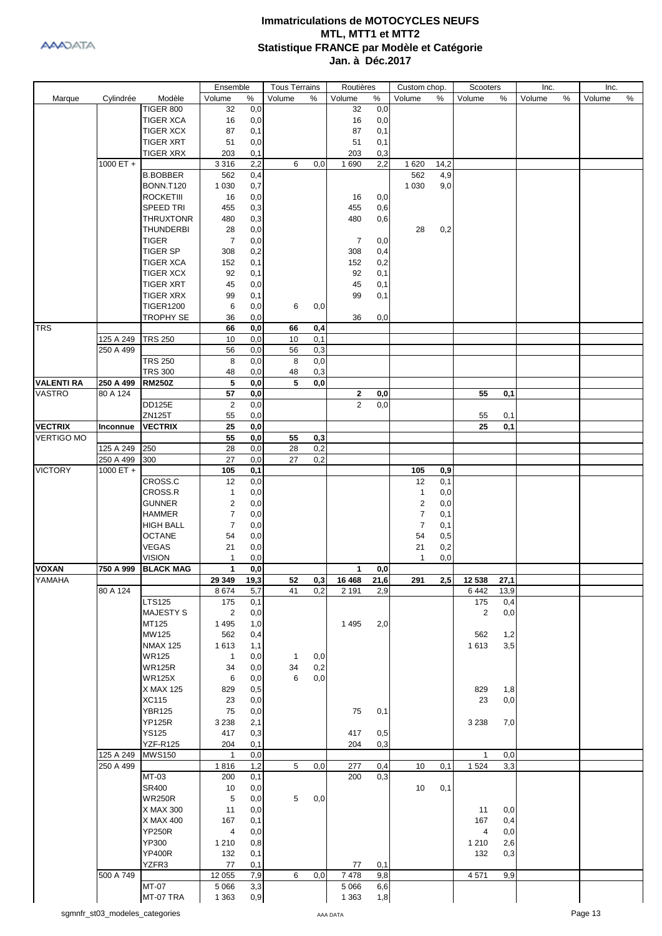

|                   |           |                                      | Ensemble            |            | <b>Tous Terrains</b> |     | Routières      |            | Custom chop.         |            | Scooters       |            | Inc.   |   | Inc.   |      |
|-------------------|-----------|--------------------------------------|---------------------|------------|----------------------|-----|----------------|------------|----------------------|------------|----------------|------------|--------|---|--------|------|
| Marque            | Cylindrée | Modèle                               | Volume              | ℅          | Volume               | ℅   | Volume         | ℅          | Volume               | %          | Volume         | %          | Volume | % | Volume | $\%$ |
|                   |           | <b>TIGER 800</b>                     | 32                  | 0,0        |                      |     | 32             | 0,0        |                      |            |                |            |        |   |        |      |
|                   |           | <b>TIGER XCA</b>                     | 16                  | 0,0        |                      |     | 16             | 0,0        |                      |            |                |            |        |   |        |      |
|                   |           | <b>TIGER XCX</b>                     | 87                  | 0,1        |                      |     | 87             | 0,1        |                      |            |                |            |        |   |        |      |
|                   |           | <b>TIGER XRT</b>                     | 51                  | 0,0        |                      |     | 51             | 0,1        |                      |            |                |            |        |   |        |      |
|                   |           | <b>TIGER XRX</b>                     | 203                 | 0,1        |                      |     | 203            | 0,3        |                      |            |                |            |        |   |        |      |
|                   | 1000 ET + |                                      | 3 3 1 6             | 2,2        | 6                    | 0,0 | 1690           | 2,2        | 1620                 | 14,2       |                |            |        |   |        |      |
|                   |           | <b>B.BOBBER</b>                      | 562                 | 0,4        |                      |     |                |            | 562                  | 4,9        |                |            |        |   |        |      |
|                   |           | BONN.T120                            | 1 0 3 0             | 0,7        |                      |     |                |            | 1 0 3 0              | 9,0        |                |            |        |   |        |      |
|                   |           | <b>ROCKETIII</b>                     | 16                  | 0,0        |                      |     | 16             | 0,0        |                      |            |                |            |        |   |        |      |
|                   |           | <b>SPEED TRI</b>                     | 455                 | 0,3        |                      |     | 455            | 0,6        |                      |            |                |            |        |   |        |      |
|                   |           | <b>THRUXTONR</b>                     | 480                 | 0,3        |                      |     | 480            | 0,6        |                      |            |                |            |        |   |        |      |
|                   |           | <b>THUNDERBI</b>                     | 28                  | 0,0        |                      |     |                |            | 28                   | 0,2        |                |            |        |   |        |      |
|                   |           | <b>TIGER</b>                         | $\overline{7}$      | 0,0        |                      |     | 7              | 0,0        |                      |            |                |            |        |   |        |      |
|                   |           | <b>TIGER SP</b>                      | 308                 | 0,2        |                      |     | 308            | 0,4        |                      |            |                |            |        |   |        |      |
|                   |           | <b>TIGER XCA</b>                     | 152                 | 0,1        |                      |     | 152            | 0,2        |                      |            |                |            |        |   |        |      |
|                   |           | <b>TIGER XCX</b>                     | 92                  | 0,1        |                      |     | 92             | 0,1        |                      |            |                |            |        |   |        |      |
|                   |           | <b>TIGER XRT</b><br><b>TIGER XRX</b> | 45<br>99            | 0,0        |                      |     | 45<br>99       | 0,1        |                      |            |                |            |        |   |        |      |
|                   |           | <b>TIGER1200</b>                     | 6                   | 0,1<br>0,0 | 6                    | 0,0 |                | 0,1        |                      |            |                |            |        |   |        |      |
|                   |           | <b>TROPHY SE</b>                     | 36                  | 0,0        |                      |     | 36             | 0,0        |                      |            |                |            |        |   |        |      |
| <b>TRS</b>        |           |                                      | 66                  | 0,0        | 66                   | 0,4 |                |            |                      |            |                |            |        |   |        |      |
|                   | 125 A 249 | <b>TRS 250</b>                       | 10                  | 0,0        | 10                   | 0,1 |                |            |                      |            |                |            |        |   |        |      |
|                   | 250 A 499 |                                      | 56                  | 0,0        | 56                   | 0,3 |                |            |                      |            |                |            |        |   |        |      |
|                   |           | <b>TRS 250</b>                       | 8                   | 0,0        | 8                    | 0,0 |                |            |                      |            |                |            |        |   |        |      |
|                   |           | <b>TRS 300</b>                       | 48                  | 0,0        | 48                   | 0,3 |                |            |                      |            |                |            |        |   |        |      |
| <b>VALENTI RA</b> | 250 A 499 | <b>RM250Z</b>                        | 5                   | 0,0        | 5                    | 0,0 |                |            |                      |            |                |            |        |   |        |      |
| <b>VASTRO</b>     | 80 A 124  |                                      | 57                  | 0,0        |                      |     | 2              | 0,0        |                      |            | 55             | 0,1        |        |   |        |      |
|                   |           | <b>DD125E</b>                        | $\overline{2}$      | 0,0        |                      |     | $\overline{2}$ | 0,0        |                      |            |                |            |        |   |        |      |
|                   |           | <b>ZN125T</b>                        | 55                  | 0,0        |                      |     |                |            |                      |            | 55             | 0,1        |        |   |        |      |
| <b>VECTRIX</b>    | Inconnue  | <b>VECTRIX</b>                       | 25                  | 0,0        |                      |     |                |            |                      |            | 25             | 0,1        |        |   |        |      |
| <b>VERTIGO MO</b> |           |                                      | 55                  | 0,0        | 55                   | 0,3 |                |            |                      |            |                |            |        |   |        |      |
|                   | 125 A 249 | 250                                  | 28                  | 0,0        | 28                   | 0,2 |                |            |                      |            |                |            |        |   |        |      |
|                   | 250 A 499 | 300                                  | 27                  | 0,0        | 27                   | 0,2 |                |            |                      |            |                |            |        |   |        |      |
| <b>VICTORY</b>    | 1000 ET + |                                      | 105                 | 0,1        |                      |     |                |            | 105                  | 0,9        |                |            |        |   |        |      |
|                   |           | CROSS.C                              | 12                  | 0,0        |                      |     |                |            | 12                   | 0,1        |                |            |        |   |        |      |
|                   |           | CROSS.R                              | $\mathbf{1}$        | 0,0        |                      |     |                |            | $\mathbf{1}$         | 0,0        |                |            |        |   |        |      |
|                   |           | <b>GUNNER</b>                        | $\mathbf 2$         | 0,0        |                      |     |                |            | $\overline{c}$       | 0,0        |                |            |        |   |        |      |
|                   |           | <b>HAMMER</b>                        | 7<br>$\overline{7}$ | 0,0        |                      |     |                |            | 7                    | 0,1        |                |            |        |   |        |      |
|                   |           | <b>HIGH BALL</b><br><b>OCTANE</b>    | 54                  | 0,0<br>0,0 |                      |     |                |            | $\overline{7}$<br>54 | 0,1        |                |            |        |   |        |      |
|                   |           | <b>VEGAS</b>                         | 21                  | 0,0        |                      |     |                |            | 21                   | 0,5<br>0,2 |                |            |        |   |        |      |
|                   |           | <b>VISION</b>                        | 1                   | 0,0        |                      |     |                |            | 1                    | 0,0        |                |            |        |   |        |      |
| <b>VOXAN</b>      | 750 A 999 | <b>BLACK MAG</b>                     | $\mathbf{1}$        | 0,0        |                      |     | $\mathbf{1}$   | 0,0        |                      |            |                |            |        |   |        |      |
| YAMAHA            |           |                                      | 29 349              | 19,3       | 52                   | 0,3 | 16 468         | 21,6       | 291                  | 2,5        | 12 538         | 27,1       |        |   |        |      |
|                   | 80 A 124  |                                      | 8674                | 5,7        | 41                   | 0,2 | 2 1 9 1        | 2,9        |                      |            | 6442           | 13,9       |        |   |        |      |
|                   |           | <b>LTS125</b>                        | 175                 | 0,1        |                      |     |                |            |                      |            | 175            | 0,4        |        |   |        |      |
|                   |           | <b>MAJESTY S</b>                     | $\overline{2}$      | 0,0        |                      |     |                |            |                      |            | $\overline{2}$ | 0,0        |        |   |        |      |
|                   |           | MT125                                | 1 4 9 5             | 1,0        |                      |     | 1 4 9 5        | 2,0        |                      |            |                |            |        |   |        |      |
|                   |           | MW125                                | 562                 | 0,4        |                      |     |                |            |                      |            | 562            | 1,2        |        |   |        |      |
|                   |           | <b>NMAX 125</b>                      | 1613                | 1,1        |                      |     |                |            |                      |            | 1613           | 3,5        |        |   |        |      |
|                   |           | <b>WR125</b>                         | $\mathbf{1}$        | 0,0        | $\mathbf{1}$         | 0,0 |                |            |                      |            |                |            |        |   |        |      |
|                   |           | <b>WR125R</b>                        | 34                  | 0,0        | 34                   | 0,2 |                |            |                      |            |                |            |        |   |        |      |
|                   |           | <b>WR125X</b>                        | 6                   | 0,0        | 6                    | 0,0 |                |            |                      |            |                |            |        |   |        |      |
|                   |           | X MAX 125                            | 829                 | 0,5        |                      |     |                |            |                      |            | 829            | 1,8        |        |   |        |      |
|                   |           | <b>XC115</b>                         | 23                  | 0,0        |                      |     |                |            |                      |            | 23             | 0,0        |        |   |        |      |
|                   |           | <b>YBR125</b>                        | 75                  | 0,0        |                      |     | 75             | 0,1        |                      |            |                |            |        |   |        |      |
|                   |           | <b>YP125R</b>                        | 3 2 3 8             | 2,1        |                      |     |                |            |                      |            | 3 2 3 8        | 7,0        |        |   |        |      |
|                   |           | <b>YS125</b>                         | 417                 | 0,3        |                      |     | 417            | 0,5        |                      |            |                |            |        |   |        |      |
|                   |           |                                      |                     |            |                      |     |                | 0,3        |                      |            |                |            |        |   |        |      |
|                   |           | <b>YZF-R125</b>                      | 204                 | 0,1        |                      |     | 204            |            |                      |            |                |            |        |   |        |      |
|                   | 125 A 249 | <b>MWS150</b>                        | 1                   | 0,0        |                      |     |                |            |                      |            | 1              | 0,0        |        |   |        |      |
|                   | 250 A 499 |                                      | 1816                | 1,2        | 5                    | 0,0 | 277            | 0,4        | 10                   | 0,1        | 1 5 2 4        | 3,3        |        |   |        |      |
|                   |           | MT-03                                | 200                 | 0,1        |                      |     | 200            | 0,3        |                      |            |                |            |        |   |        |      |
|                   |           | <b>SR400</b>                         | 10                  | 0,0        |                      |     |                |            | 10                   | 0,1        |                |            |        |   |        |      |
|                   |           | <b>WR250R</b>                        | 5                   | 0,0        | 5                    | 0,0 |                |            |                      |            |                |            |        |   |        |      |
|                   |           | X MAX 300                            | 11                  | 0,0        |                      |     |                |            |                      |            | 11             | 0,0        |        |   |        |      |
|                   |           | X MAX 400                            | 167                 | 0,1        |                      |     |                |            |                      |            | 167            | 0,4        |        |   |        |      |
|                   |           | <b>YP250R</b>                        | 4                   | 0,0        |                      |     |                |            |                      |            | 4              | 0,0        |        |   |        |      |
|                   |           | YP300<br><b>YP400R</b>               | 1 2 1 0<br>132      | 0,8<br>0,1 |                      |     |                |            |                      |            | 1 2 1 0<br>132 | 2,6<br>0,3 |        |   |        |      |
|                   |           | YZFR3                                | 77                  | 0,1        |                      |     | 77             | 0,1        |                      |            |                |            |        |   |        |      |
|                   | 500 A 749 |                                      | 12 055              | 7,9        | 6                    | 0,0 | 7478           | 9,8        |                      |            | 4 5 7 1        | 9,9        |        |   |        |      |
|                   |           | MT-07<br>MT-07 TRA                   | 5 0 6 6             | 3,3<br>0,9 |                      |     | 5 0 66         | 6,6<br>1,8 |                      |            |                |            |        |   |        |      |